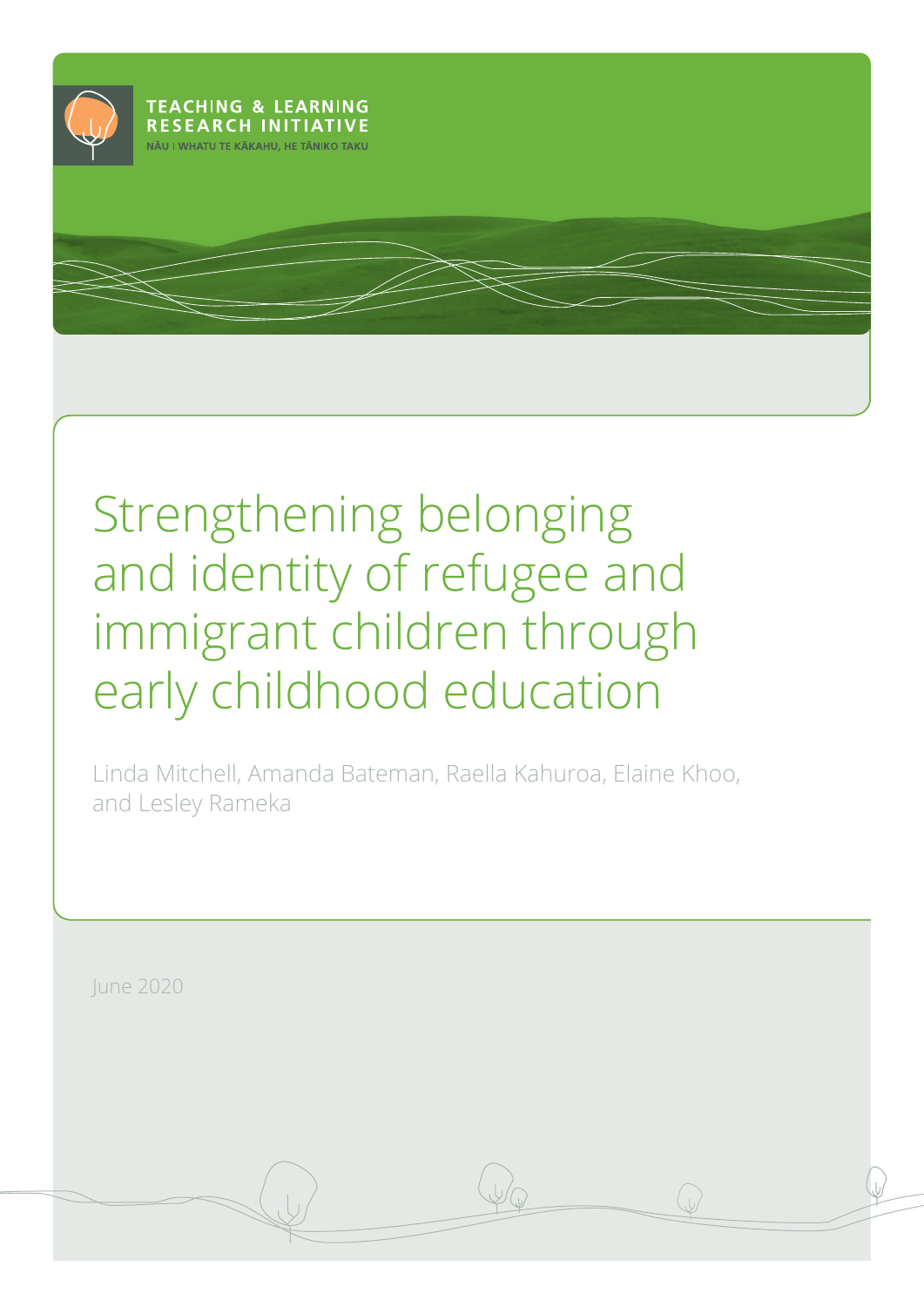

# Strengthening belonging and identity of refugee and immigrant children through early childhood education

Linda Mitchell, Amanda Bateman, Raella Kahuroa, Elaine Khoo, and Lesley Rameka

June 2020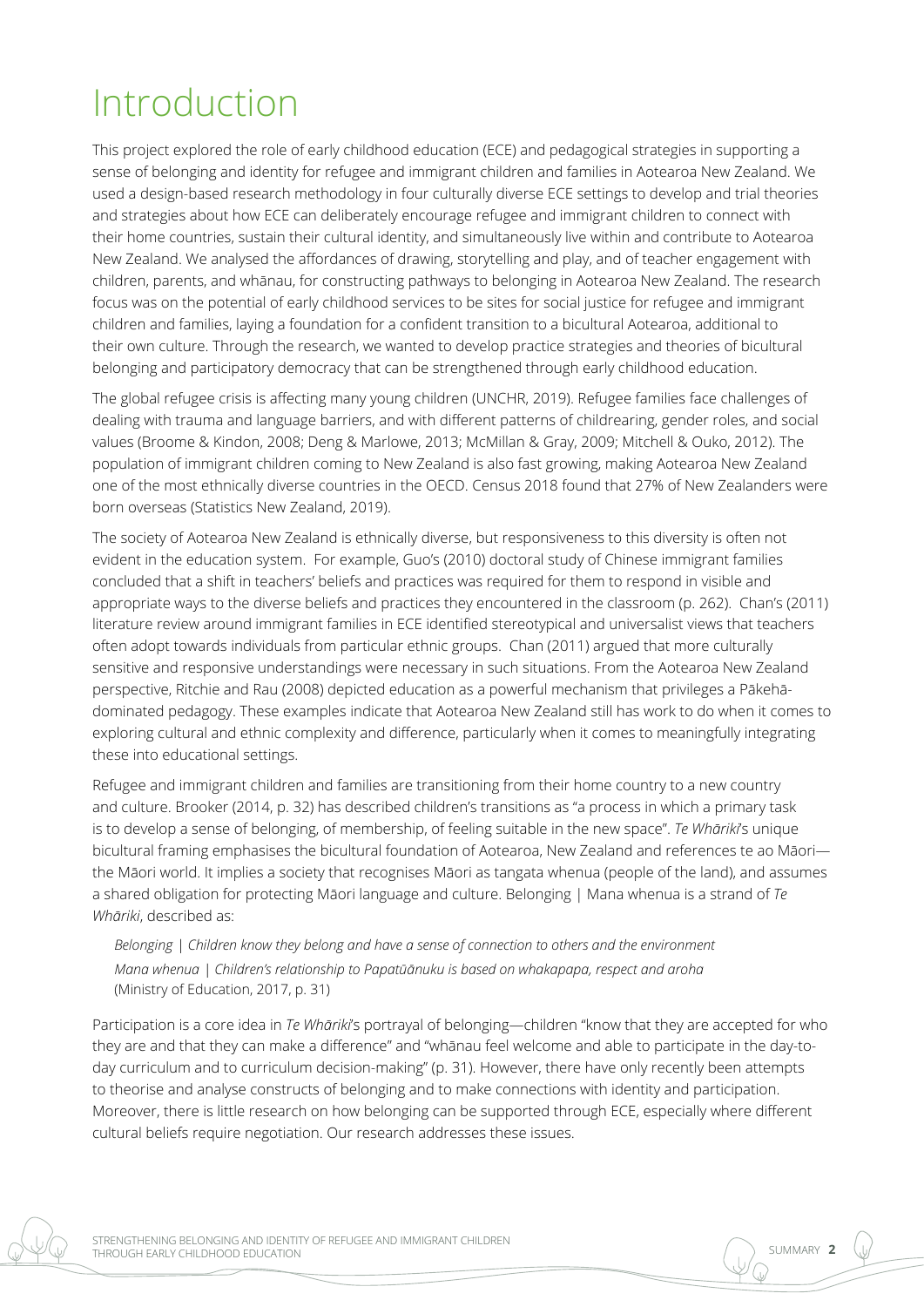## Introduction

This project explored the role of early childhood education (ECE) and pedagogical strategies in supporting a sense of belonging and identity for refugee and immigrant children and families in Aotearoa New Zealand. We used a design-based research methodology in four culturally diverse ECE settings to develop and trial theories and strategies about how ECE can deliberately encourage refugee and immigrant children to connect with their home countries, sustain their cultural identity, and simultaneously live within and contribute to Aotearoa New Zealand. We analysed the affordances of drawing, storytelling and play, and of teacher engagement with children, parents, and whānau, for constructing pathways to belonging in Aotearoa New Zealand. The research focus was on the potential of early childhood services to be sites for social justice for refugee and immigrant children and families, laying a foundation for a confident transition to a bicultural Aotearoa, additional to their own culture. Through the research, we wanted to develop practice strategies and theories of bicultural belonging and participatory democracy that can be strengthened through early childhood education.

The global refugee crisis is affecting many young children (UNCHR, 2019). Refugee families face challenges of dealing with trauma and language barriers, and with different patterns of childrearing, gender roles, and social values (Broome & Kindon, 2008; Deng & Marlowe, 2013; McMillan & Gray, 2009; Mitchell & Ouko, 2012). The population of immigrant children coming to New Zealand is also fast growing, making Aotearoa New Zealand one of the most ethnically diverse countries in the OECD. Census 2018 found that 27% of New Zealanders were born overseas (Statistics New Zealand, 2019).

The society of Aotearoa New Zealand is ethnically diverse, but responsiveness to this diversity is often not evident in the education system. For example, Guo's (2010) doctoral study of Chinese immigrant families concluded that a shift in teachers' beliefs and practices was required for them to respond in visible and appropriate ways to the diverse beliefs and practices they encountered in the classroom (p. 262). Chan's (2011) literature review around immigrant families in ECE identified stereotypical and universalist views that teachers often adopt towards individuals from particular ethnic groups. Chan (2011) argued that more culturally sensitive and responsive understandings were necessary in such situations. From the Aotearoa New Zealand perspective, Ritchie and Rau (2008) depicted education as a powerful mechanism that privileges a Pākehādominated pedagogy. These examples indicate that Aotearoa New Zealand still has work to do when it comes to exploring cultural and ethnic complexity and difference, particularly when it comes to meaningfully integrating these into educational settings.

Refugee and immigrant children and families are transitioning from their home country to a new country and culture. Brooker (2014, p. 32) has described children's transitions as "a process in which a primary task is to develop a sense of belonging, of membership, of feeling suitable in the new space". *Te Whāriki*'s unique bicultural framing emphasises the bicultural foundation of Aotearoa, New Zealand and references te ao Māori the Māori world. It implies a society that recognises Māori as tangata whenua (people of the land), and assumes a shared obligation for protecting Māori language and culture. Belonging | Mana whenua is a strand of *Te Whāriki*, described as:

*Belonging | Children know they belong and have a sense of connection to others and the environment Mana whenua | Children's relationship to Papatūānuku is based on whakapapa, respect and aroha* (Ministry of Education, 2017, p. 31)

Participation is a core idea in *Te Whāriki*'s portrayal of belonging—children "know that they are accepted for who they are and that they can make a difference" and "whānau feel welcome and able to participate in the day-today curriculum and to curriculum decision-making" (p. 31). However, there have only recently been attempts to theorise and analyse constructs of belonging and to make connections with identity and participation. Moreover, there is little research on how belonging can be supported through ECE, especially where different cultural beliefs require negotiation. Our research addresses these issues.

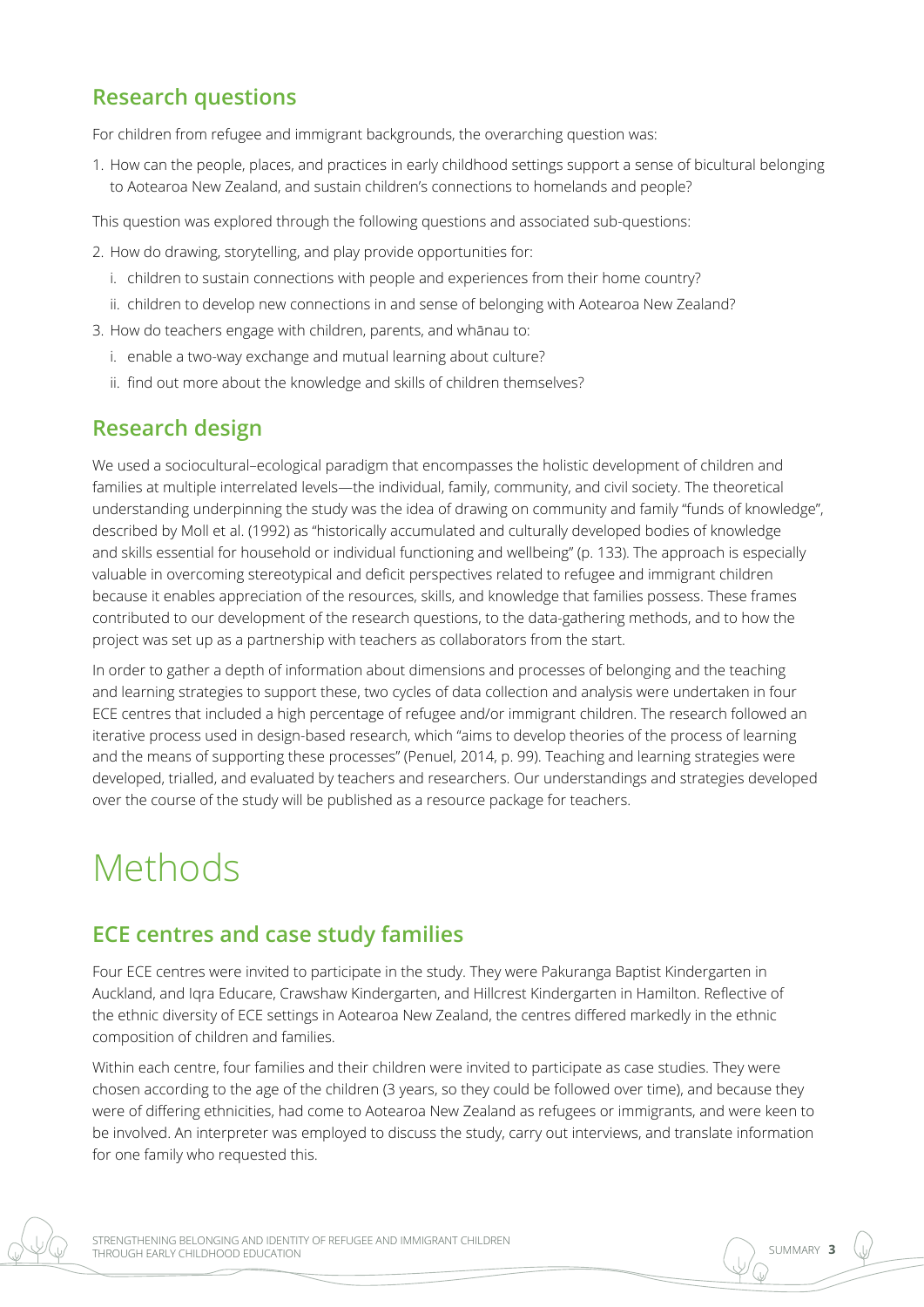## **Research questions**

For children from refugee and immigrant backgrounds, the overarching question was:

1. How can the people, places, and practices in early childhood settings support a sense of bicultural belonging to Aotearoa New Zealand, and sustain children's connections to homelands and people?

This question was explored through the following questions and associated sub-questions:

- 2. How do drawing, storytelling, and play provide opportunities for:
	- i. children to sustain connections with people and experiences from their home country?
	- ii. children to develop new connections in and sense of belonging with Aotearoa New Zealand?
- 3. How do teachers engage with children, parents, and whānau to:
	- i. enable a two-way exchange and mutual learning about culture?
	- ii. find out more about the knowledge and skills of children themselves?

## **Research design**

We used a sociocultural–ecological paradigm that encompasses the holistic development of children and families at multiple interrelated levels—the individual, family, community, and civil society. The theoretical understanding underpinning the study was the idea of drawing on community and family "funds of knowledge", described by Moll et al. (1992) as "historically accumulated and culturally developed bodies of knowledge and skills essential for household or individual functioning and wellbeing" (p. 133). The approach is especially valuable in overcoming stereotypical and deficit perspectives related to refugee and immigrant children because it enables appreciation of the resources, skills, and knowledge that families possess. These frames contributed to our development of the research questions, to the data-gathering methods, and to how the project was set up as a partnership with teachers as collaborators from the start.

In order to gather a depth of information about dimensions and processes of belonging and the teaching and learning strategies to support these, two cycles of data collection and analysis were undertaken in four ECE centres that included a high percentage of refugee and/or immigrant children. The research followed an iterative process used in design-based research, which "aims to develop theories of the process of learning and the means of supporting these processes" (Penuel, 2014, p. 99). Teaching and learning strategies were developed, trialled, and evaluated by teachers and researchers. Our understandings and strategies developed over the course of the study will be published as a resource package for teachers.

## Methods

## **ECE centres and case study families**

Four ECE centres were invited to participate in the study. They were Pakuranga Baptist Kindergarten in Auckland, and Iqra Educare, Crawshaw Kindergarten, and Hillcrest Kindergarten in Hamilton. Reflective of the ethnic diversity of ECE settings in Aotearoa New Zealand, the centres differed markedly in the ethnic composition of children and families.

Within each centre, four families and their children were invited to participate as case studies. They were chosen according to the age of the children (3 years, so they could be followed over time), and because they were of differing ethnicities, had come to Aotearoa New Zealand as refugees or immigrants, and were keen to be involved. An interpreter was employed to discuss the study, carry out interviews, and translate information for one family who requested this.

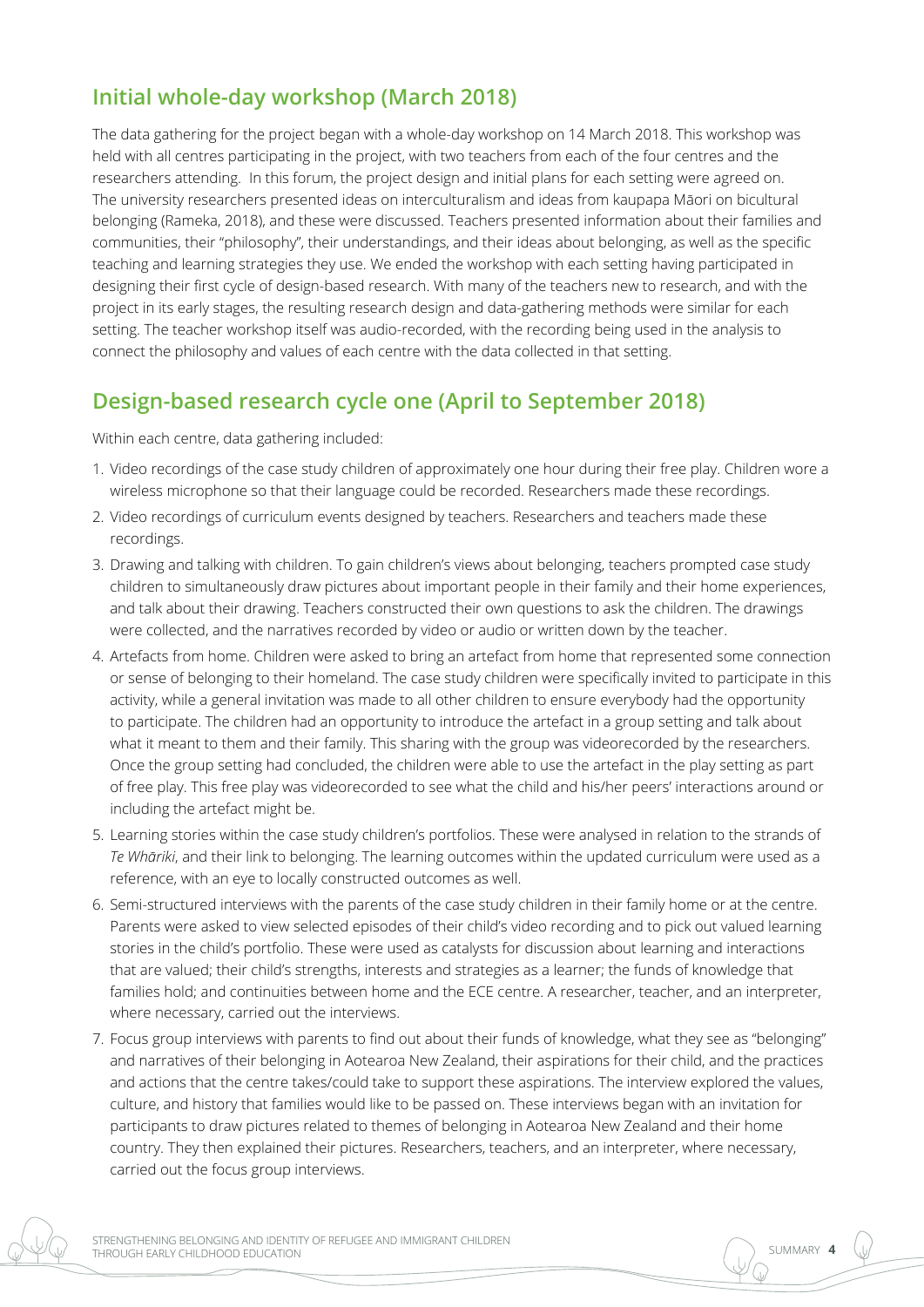## **Initial whole-day workshop (March 2018)**

The data gathering for the project began with a whole-day workshop on 14 March 2018. This workshop was held with all centres participating in the project, with two teachers from each of the four centres and the researchers attending. In this forum, the project design and initial plans for each setting were agreed on. The university researchers presented ideas on interculturalism and ideas from kaupapa Māori on bicultural belonging (Rameka, 2018), and these were discussed. Teachers presented information about their families and communities, their "philosophy", their understandings, and their ideas about belonging, as well as the specific teaching and learning strategies they use. We ended the workshop with each setting having participated in designing their first cycle of design-based research. With many of the teachers new to research, and with the project in its early stages, the resulting research design and data-gathering methods were similar for each setting. The teacher workshop itself was audio-recorded, with the recording being used in the analysis to connect the philosophy and values of each centre with the data collected in that setting.

## **Design-based research cycle one (April to September 2018)**

Within each centre, data gathering included:

- 1. Video recordings of the case study children of approximately one hour during their free play. Children wore a wireless microphone so that their language could be recorded. Researchers made these recordings.
- 2. Video recordings of curriculum events designed by teachers. Researchers and teachers made these recordings.
- 3. Drawing and talking with children. To gain children's views about belonging, teachers prompted case study children to simultaneously draw pictures about important people in their family and their home experiences, and talk about their drawing. Teachers constructed their own questions to ask the children. The drawings were collected, and the narratives recorded by video or audio or written down by the teacher.
- 4. Artefacts from home. Children were asked to bring an artefact from home that represented some connection or sense of belonging to their homeland. The case study children were specifically invited to participate in this activity, while a general invitation was made to all other children to ensure everybody had the opportunity to participate. The children had an opportunity to introduce the artefact in a group setting and talk about what it meant to them and their family. This sharing with the group was videorecorded by the researchers. Once the group setting had concluded, the children were able to use the artefact in the play setting as part of free play. This free play was videorecorded to see what the child and his/her peers' interactions around or including the artefact might be.
- 5. Learning stories within the case study children's portfolios. These were analysed in relation to the strands of *Te Whāriki*, and their link to belonging. The learning outcomes within the updated curriculum were used as a reference, with an eye to locally constructed outcomes as well.
- 6. Semi-structured interviews with the parents of the case study children in their family home or at the centre. Parents were asked to view selected episodes of their child's video recording and to pick out valued learning stories in the child's portfolio. These were used as catalysts for discussion about learning and interactions that are valued; their child's strengths, interests and strategies as a learner; the funds of knowledge that families hold; and continuities between home and the ECE centre. A researcher, teacher, and an interpreter, where necessary, carried out the interviews.
- 7. Focus group interviews with parents to find out about their funds of knowledge, what they see as "belonging" and narratives of their belonging in Aotearoa New Zealand, their aspirations for their child, and the practices and actions that the centre takes/could take to support these aspirations. The interview explored the values, culture, and history that families would like to be passed on. These interviews began with an invitation for participants to draw pictures related to themes of belonging in Aotearoa New Zealand and their home country. They then explained their pictures. Researchers, teachers, and an interpreter, where necessary, carried out the focus group interviews.

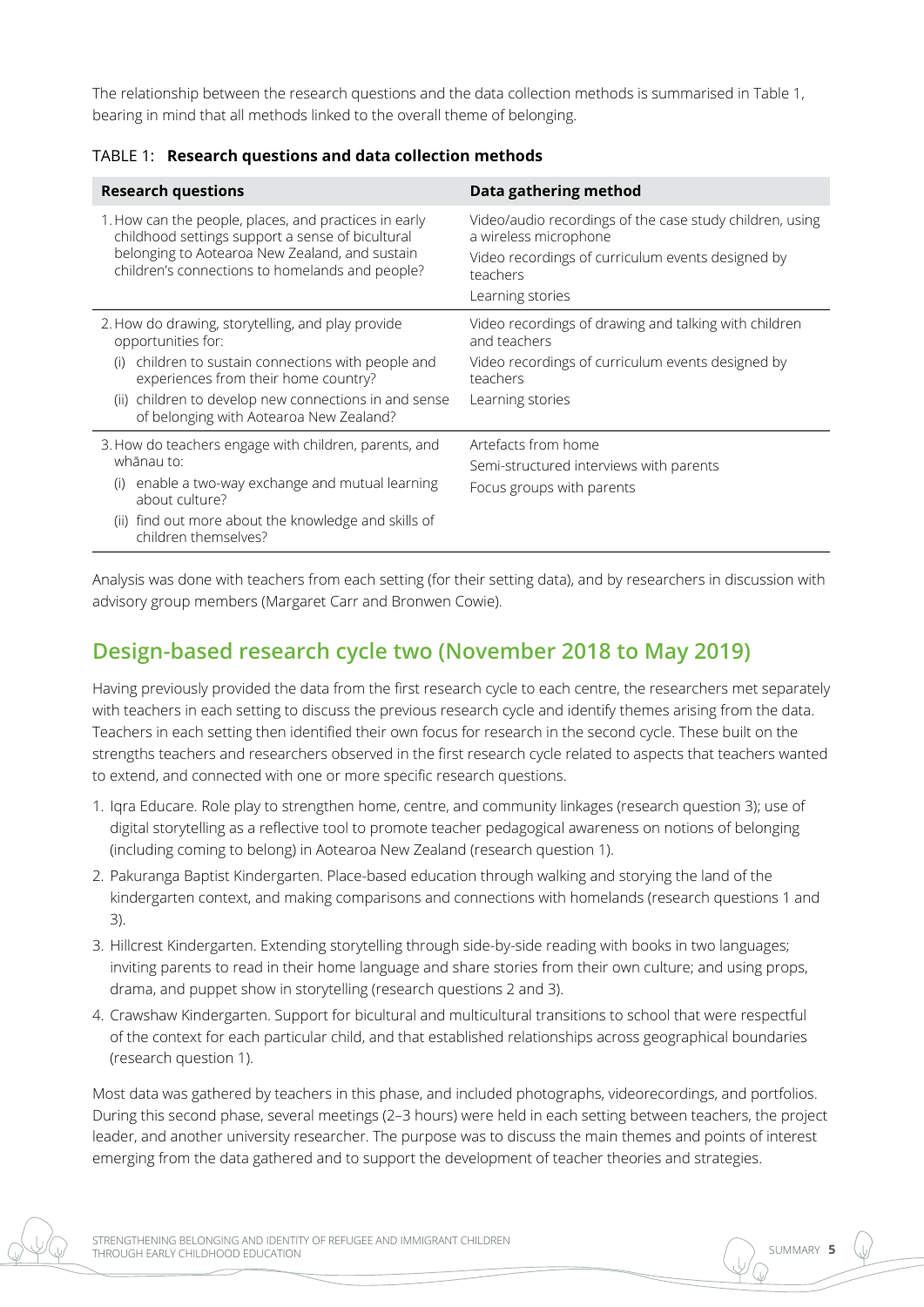The relationship between the research questions and the data collection methods is summarised in Table 1, bearing in mind that all methods linked to the overall theme of belonging.

| <b>Research questions</b>                                                                                                                                                                                                                                                        | Data gathering method                                                                                                                                                  |  |
|----------------------------------------------------------------------------------------------------------------------------------------------------------------------------------------------------------------------------------------------------------------------------------|------------------------------------------------------------------------------------------------------------------------------------------------------------------------|--|
| 1. How can the people, places, and practices in early<br>childhood settings support a sense of bicultural<br>belonging to Aotearoa New Zealand, and sustain<br>children's connections to homelands and people?                                                                   | Video/audio recordings of the case study children, using<br>a wireless microphone<br>Video recordings of curriculum events designed by<br>teachers<br>Learning stories |  |
| 2. How do drawing, storytelling, and play provide<br>opportunities for:<br>children to sustain connections with people and<br>(i)<br>experiences from their home country?<br>children to develop new connections in and sense<br>(ii)<br>of belonging with Aotearoa New Zealand? | Video recordings of drawing and talking with children<br>and teachers<br>Video recordings of curriculum events designed by<br>teachers<br>Learning stories             |  |
| 3. How do teachers engage with children, parents, and<br>whānau to:<br>enable a two-way exchange and mutual learning<br>(i)<br>about culture?<br>find out more about the knowledge and skills of<br>(ii)<br>children themselves?                                                 | Artefacts from home<br>Semi-structured interviews with parents<br>Focus groups with parents                                                                            |  |

#### TABLE 1: **Research questions and data collection methods**

Analysis was done with teachers from each setting (for their setting data), and by researchers in discussion with advisory group members (Margaret Carr and Bronwen Cowie).

## **Design-based research cycle two (November 2018 to May 2019)**

Having previously provided the data from the first research cycle to each centre, the researchers met separately with teachers in each setting to discuss the previous research cycle and identify themes arising from the data. Teachers in each setting then identified their own focus for research in the second cycle. These built on the strengths teachers and researchers observed in the first research cycle related to aspects that teachers wanted to extend, and connected with one or more specific research questions.

- 1. Iqra Educare. Role play to strengthen home, centre, and community linkages (research question 3); use of digital storytelling as a reflective tool to promote teacher pedagogical awareness on notions of belonging (including coming to belong) in Aotearoa New Zealand (research question 1).
- 2. Pakuranga Baptist Kindergarten. Place-based education through walking and storying the land of the kindergarten context, and making comparisons and connections with homelands (research questions 1 and 3).
- 3. Hillcrest Kindergarten. Extending storytelling through side-by-side reading with books in two languages; inviting parents to read in their home language and share stories from their own culture; and using props, drama, and puppet show in storytelling (research questions 2 and 3).
- 4. Crawshaw Kindergarten. Support for bicultural and multicultural transitions to school that were respectful of the context for each particular child, and that established relationships across geographical boundaries (research question 1).

Most data was gathered by teachers in this phase, and included photographs, videorecordings, and portfolios. During this second phase, several meetings (2–3 hours) were held in each setting between teachers, the project leader, and another university researcher. The purpose was to discuss the main themes and points of interest emerging from the data gathered and to support the development of teacher theories and strategies.

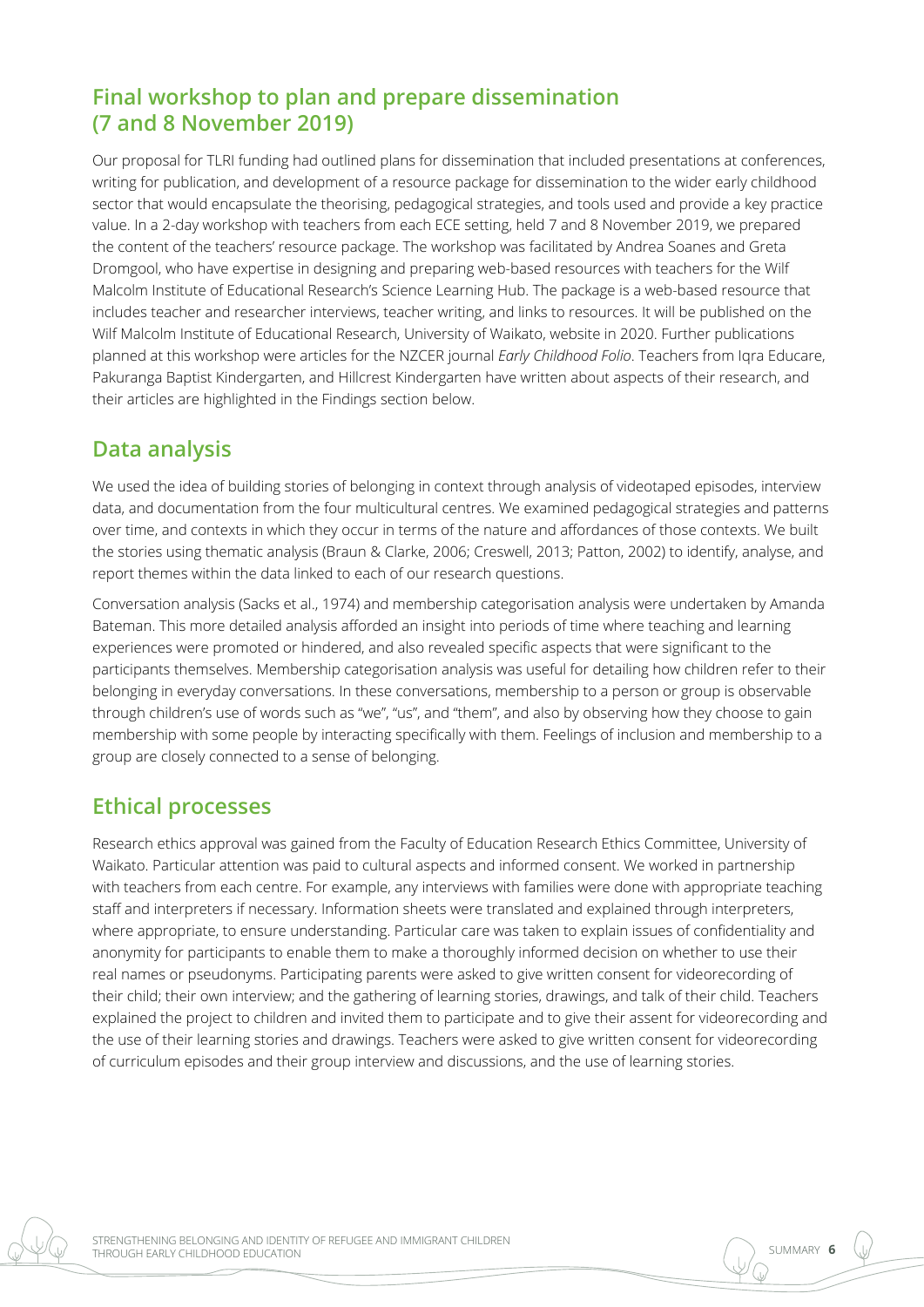## **Final workshop to plan and prepare dissemination (7 and 8 November 2019)**

Our proposal for TLRI funding had outlined plans for dissemination that included presentations at conferences, writing for publication, and development of a resource package for dissemination to the wider early childhood sector that would encapsulate the theorising, pedagogical strategies, and tools used and provide a key practice value. In a 2-day workshop with teachers from each ECE setting, held 7 and 8 November 2019, we prepared the content of the teachers' resource package. The workshop was facilitated by Andrea Soanes and Greta Dromgool, who have expertise in designing and preparing web-based resources with teachers for the Wilf Malcolm Institute of Educational Research's Science Learning Hub. The package is a web-based resource that includes teacher and researcher interviews, teacher writing, and links to resources. It will be published on the Wilf Malcolm Institute of Educational Research, University of Waikato, website in 2020. Further publications planned at this workshop were articles for the NZCER journal *Early Childhood Folio*. Teachers from Iqra Educare, Pakuranga Baptist Kindergarten, and Hillcrest Kindergarten have written about aspects of their research, and their articles are highlighted in the Findings section below.

#### **Data analysis**

We used the idea of building stories of belonging in context through analysis of videotaped episodes, interview data, and documentation from the four multicultural centres. We examined pedagogical strategies and patterns over time, and contexts in which they occur in terms of the nature and affordances of those contexts. We built the stories using thematic analysis (Braun & Clarke, 2006; Creswell, 2013; Patton, 2002) to identify, analyse, and report themes within the data linked to each of our research questions.

Conversation analysis (Sacks et al., 1974) and membership categorisation analysis were undertaken by Amanda Bateman. This more detailed analysis afforded an insight into periods of time where teaching and learning experiences were promoted or hindered, and also revealed specific aspects that were significant to the participants themselves. Membership categorisation analysis was useful for detailing how children refer to their belonging in everyday conversations. In these conversations, membership to a person or group is observable through children's use of words such as "we", "us", and "them", and also by observing how they choose to gain membership with some people by interacting specifically with them. Feelings of inclusion and membership to a group are closely connected to a sense of belonging.

## **Ethical processes**

Research ethics approval was gained from the Faculty of Education Research Ethics Committee, University of Waikato. Particular attention was paid to cultural aspects and informed consent. We worked in partnership with teachers from each centre. For example, any interviews with families were done with appropriate teaching staff and interpreters if necessary. Information sheets were translated and explained through interpreters, where appropriate, to ensure understanding. Particular care was taken to explain issues of confidentiality and anonymity for participants to enable them to make a thoroughly informed decision on whether to use their real names or pseudonyms. Participating parents were asked to give written consent for videorecording of their child; their own interview; and the gathering of learning stories, drawings, and talk of their child. Teachers explained the project to children and invited them to participate and to give their assent for videorecording and the use of their learning stories and drawings. Teachers were asked to give written consent for videorecording of curriculum episodes and their group interview and discussions, and the use of learning stories.

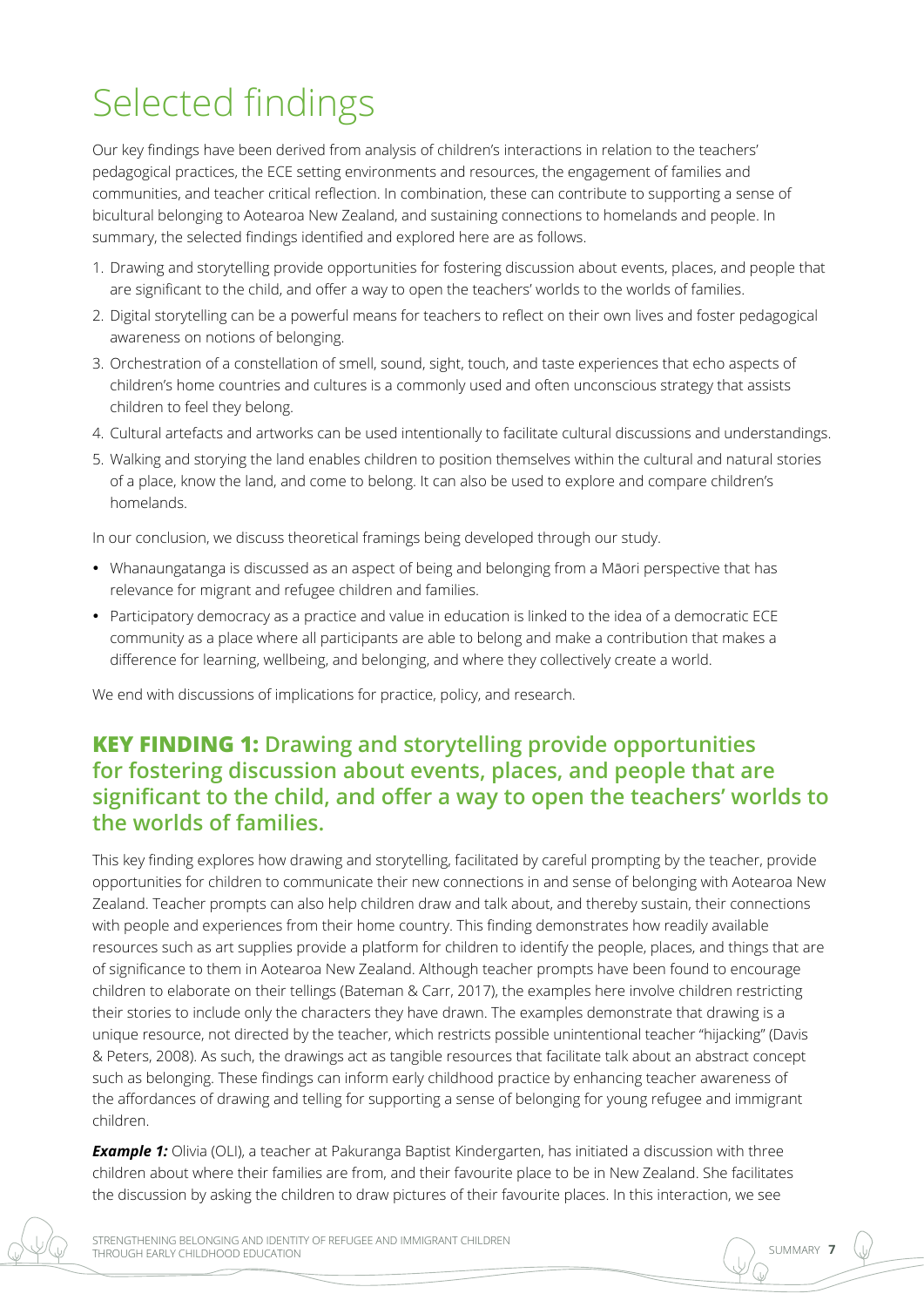## Selected findings

Our key findings have been derived from analysis of children's interactions in relation to the teachers' pedagogical practices, the ECE setting environments and resources, the engagement of families and communities, and teacher critical reflection. In combination, these can contribute to supporting a sense of bicultural belonging to Aotearoa New Zealand, and sustaining connections to homelands and people. In summary, the selected findings identified and explored here are as follows.

- 1. Drawing and storytelling provide opportunities for fostering discussion about events, places, and people that are significant to the child, and offer a way to open the teachers' worlds to the worlds of families.
- 2. Digital storytelling can be a powerful means for teachers to reflect on their own lives and foster pedagogical awareness on notions of belonging.
- 3. Orchestration of a constellation of smell, sound, sight, touch, and taste experiences that echo aspects of children's home countries and cultures is a commonly used and often unconscious strategy that assists children to feel they belong.
- 4. Cultural artefacts and artworks can be used intentionally to facilitate cultural discussions and understandings.
- 5. Walking and storying the land enables children to position themselves within the cultural and natural stories of a place, know the land, and come to belong. It can also be used to explore and compare children's homelands.

In our conclusion, we discuss theoretical framings being developed through our study.

- • Whanaungatanga is discussed as an aspect of being and belonging from a Māori perspective that has relevance for migrant and refugee children and families.
- Participatory democracy as a practice and value in education is linked to the idea of a democratic ECE community as a place where all participants are able to belong and make a contribution that makes a difference for learning, wellbeing, and belonging, and where they collectively create a world.

We end with discussions of implications for practice, policy, and research.

## **KEY FINDING 1: Drawing and storytelling provide opportunities for fostering discussion about events, places, and people that are significant to the child, and offer a way to open the teachers' worlds to the worlds of families.**

This key finding explores how drawing and storytelling, facilitated by careful prompting by the teacher, provide opportunities for children to communicate their new connections in and sense of belonging with Aotearoa New Zealand. Teacher prompts can also help children draw and talk about, and thereby sustain, their connections with people and experiences from their home country. This finding demonstrates how readily available resources such as art supplies provide a platform for children to identify the people, places, and things that are of significance to them in Aotearoa New Zealand. Although teacher prompts have been found to encourage children to elaborate on their tellings (Bateman & Carr, 2017), the examples here involve children restricting their stories to include only the characters they have drawn. The examples demonstrate that drawing is a unique resource, not directed by the teacher, which restricts possible unintentional teacher "hijacking" (Davis & Peters, 2008). As such, the drawings act as tangible resources that facilitate talk about an abstract concept such as belonging. These findings can inform early childhood practice by enhancing teacher awareness of the affordances of drawing and telling for supporting a sense of belonging for young refugee and immigrant children.

**Example 1:** Olivia (OLI), a teacher at Pakuranga Baptist Kindergarten, has initiated a discussion with three children about where their families are from, and their favourite place to be in New Zealand. She facilitates the discussion by asking the children to draw pictures of their favourite places. In this interaction, we see

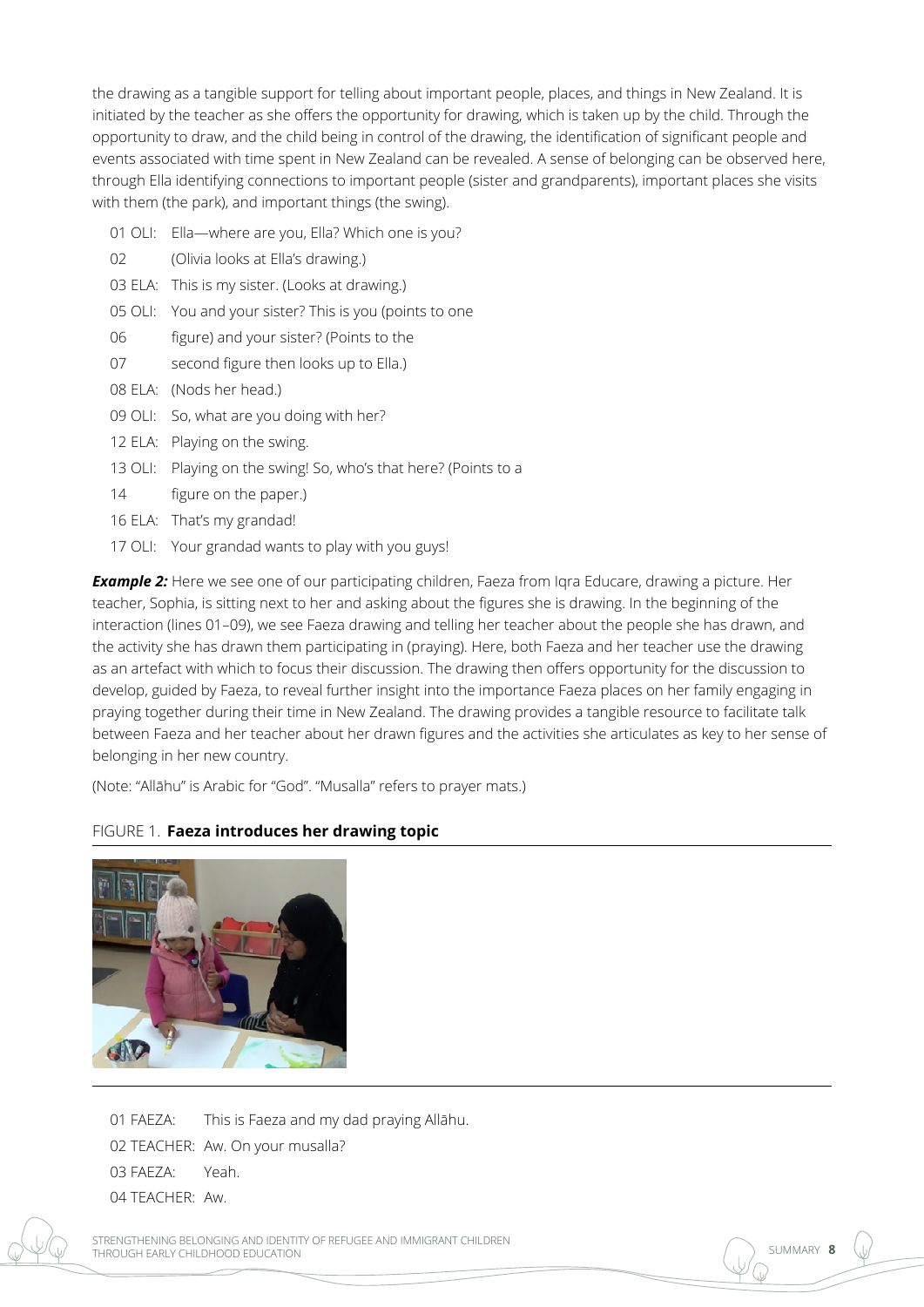the drawing as a tangible support for telling about important people, places, and things in New Zealand. It is initiated by the teacher as she offers the opportunity for drawing, which is taken up by the child. Through the opportunity to draw, and the child being in control of the drawing, the identification of significant people and events associated with time spent in New Zealand can be revealed. A sense of belonging can be observed here, through Ella identifying connections to important people (sister and grandparents), important places she visits with them (the park), and important things (the swing).

- 01 OLI: Ella—where are you, Ella? Which one is you?
- 02 (Olivia looks at Ella's drawing.)
- 03 ELA: This is my sister. (Looks at drawing.)
- 05 OLI: You and your sister? This is you (points to one
- 06 figure) and your sister? (Points to the
- 07 second figure then looks up to Ella.)
- 08 ELA: (Nods her head.)
- 09 OLI: So, what are you doing with her?
- 12 ELA: Playing on the swing.
- 13 OLI: Playing on the swing! So, who's that here? (Points to a
- 14 figure on the paper.)
- 16 ELA: That's my grandad!
- 17 OLI: Your grandad wants to play with you guys!

**Example 2:** Here we see one of our participating children, Faeza from Igra Educare, drawing a picture. Her teacher, Sophia, is sitting next to her and asking about the figures she is drawing. In the beginning of the interaction (lines 01–09), we see Faeza drawing and telling her teacher about the people she has drawn, and the activity she has drawn them participating in (praying). Here, both Faeza and her teacher use the drawing as an artefact with which to focus their discussion. The drawing then offers opportunity for the discussion to develop, guided by Faeza, to reveal further insight into the importance Faeza places on her family engaging in praying together during their time in New Zealand. The drawing provides a tangible resource to facilitate talk between Faeza and her teacher about her drawn figures and the activities she articulates as key to her sense of belonging in her new country.

(Note: "Allāhu" is Arabic for "God". "Musalla" refers to prayer mats.)

#### FIGURE 1. **Faeza introduces her drawing topic**



- 01 FAEZA: This is Faeza and my dad praying Allāhu.
- 02 TEACHER: Aw. On your musalla?
- 03 FAEZA: Yeah.
- 04 TEACHER: Aw.

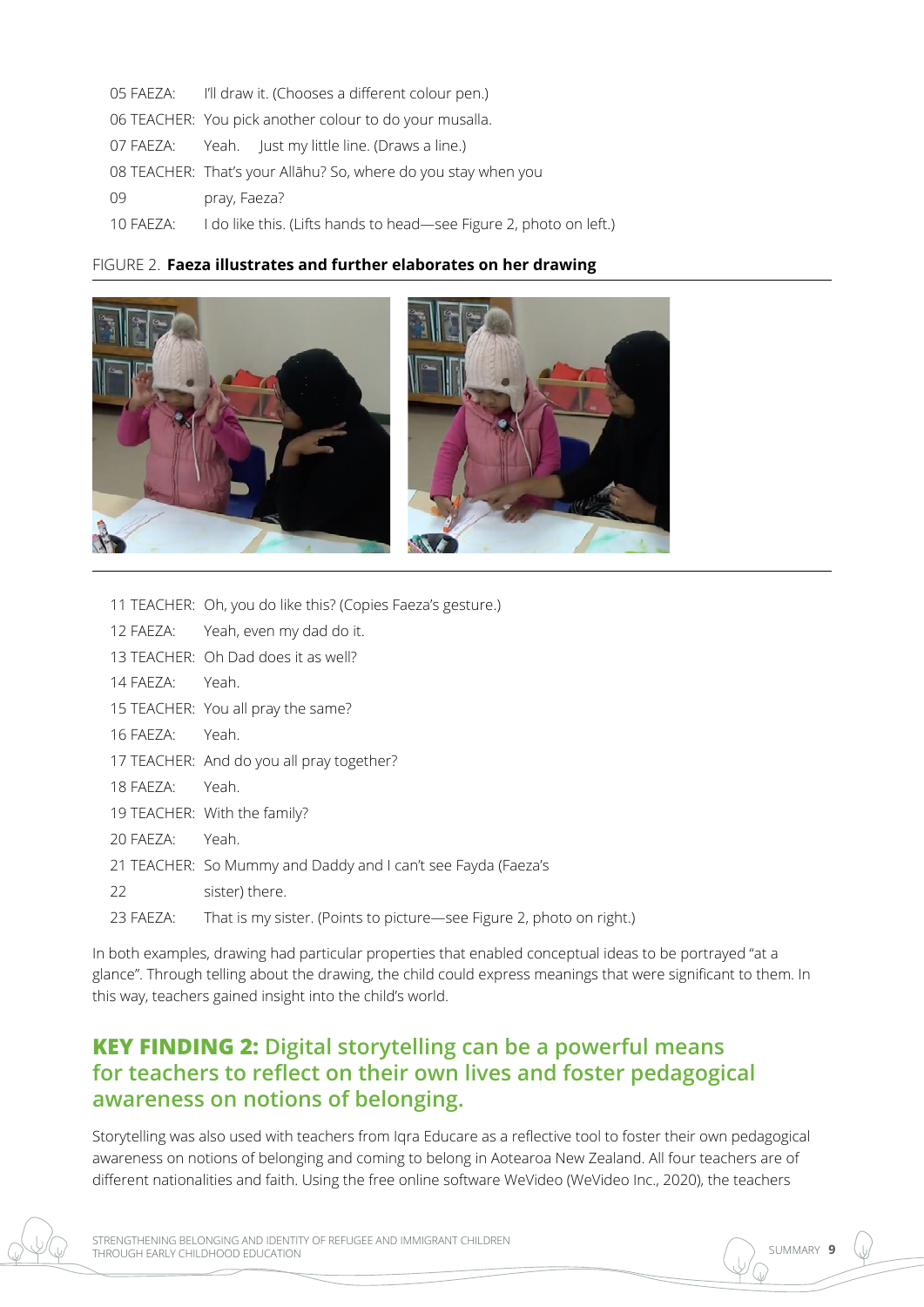| 05 FAEZA: | I'll draw it. (Chooses a different colour pen.)                    |
|-----------|--------------------------------------------------------------------|
|           | 06 TEACHER: You pick another colour to do your musalla.            |
| 07 FAEZA: | Yeah. Just my little line. (Draws a line.)                         |
|           | 08 TEACHER: That's your Allāhu? So, where do you stay when you     |
| 09        | pray, Faeza?                                                       |
| 10 FAEZA: | I do like this. (Lifts hands to head-see Figure 2, photo on left.) |
|           |                                                                    |

#### FIGURE 2. **Faeza illustrates and further elaborates on her drawing**



11 TEACHER: Oh, you do like this? (Copies Faeza's gesture.)

|           | TT TEACHER: ON, you do like this? (Copies Faeza's gesture.)                    |
|-----------|--------------------------------------------------------------------------------|
|           | 12 FAEZA: Yeah, even my dad do it.                                             |
|           | 13 TEACHER: Oh Dad does it as well?                                            |
| 14 FAEZA: | Yeah.                                                                          |
|           | 15 TEACHER: You all pray the same?                                             |
| 16 FAEZA: | Yeah.                                                                          |
|           | 17 TEACHER: And do you all pray together?                                      |
| 18 FAEZA: | Yeah.                                                                          |
|           | 19 TEACHER: With the family?                                                   |
| 20 FAEZA: | Yeah.                                                                          |
|           | 21 TEACHER: So Mummy and Daddy and I can't see Fayda (Faeza's                  |
| 22        | sister) there.                                                                 |
| 23 FAEZA: | That is my sister. (Points to picture-see Figure 2, photo on right.)           |
|           | both examples, drawing had particular properties that enabled conceptual ideas |

In both examples, drawing had particular properties that enabled conceptual ideas to be portrayed "at a glance". Through telling about the drawing, the child could express meanings that were significant to them. In this way, teachers gained insight into the child's world.

## **KEY FINDING 2: Digital storytelling can be a powerful means for teachers to reflect on their own lives and foster pedagogical awareness on notions of belonging.**

Storytelling was also used with teachers from Iqra Educare as a reflective tool to foster their own pedagogical awareness on notions of belonging and coming to belong in Aotearoa New Zealand. All four teachers are of different nationalities and faith. Using the free online software WeVideo (WeVideo Inc., 2020), the teachers

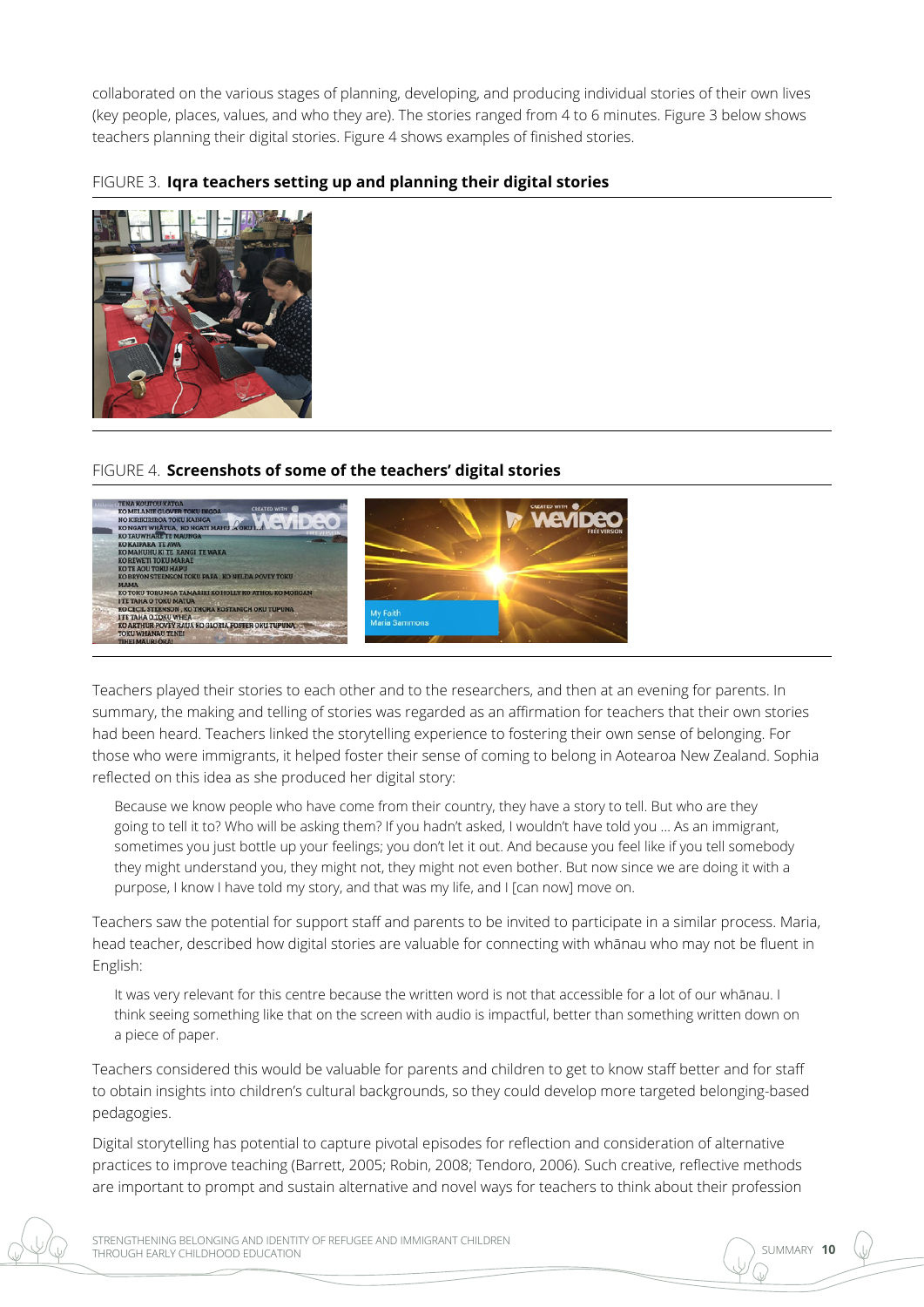collaborated on the various stages of planning, developing, and producing individual stories of their own lives (key people, places, values, and who they are). The stories ranged from 4 to 6 minutes. Figure 3 below shows teachers planning their digital stories. Figure 4 shows examples of finished stories.

FIGURE 3. **Iqra teachers setting up and planning their digital stories**



#### FIGURE 4. **Screenshots of some of the teachers' digital stories**



Teachers played their stories to each other and to the researchers, and then at an evening for parents. In summary, the making and telling of stories was regarded as an affirmation for teachers that their own stories had been heard. Teachers linked the storytelling experience to fostering their own sense of belonging. For those who were immigrants, it helped foster their sense of coming to belong in Aotearoa New Zealand. Sophia reflected on this idea as she produced her digital story:

Because we know people who have come from their country, they have a story to tell. But who are they going to tell it to? Who will be asking them? If you hadn't asked, I wouldn't have told you … As an immigrant, sometimes you just bottle up your feelings; you don't let it out. And because you feel like if you tell somebody they might understand you, they might not, they might not even bother. But now since we are doing it with a purpose, I know I have told my story, and that was my life, and I [can now] move on.

Teachers saw the potential for support staff and parents to be invited to participate in a similar process. Maria, head teacher, described how digital stories are valuable for connecting with whānau who may not be fluent in English:

It was very relevant for this centre because the written word is not that accessible for a lot of our whānau. I think seeing something like that on the screen with audio is impactful, better than something written down on a piece of paper.

Teachers considered this would be valuable for parents and children to get to know staff better and for staff to obtain insights into children's cultural backgrounds, so they could develop more targeted belonging-based pedagogies.

Digital storytelling has potential to capture pivotal episodes for reflection and consideration of alternative practices to improve teaching (Barrett, 2005; Robin, 2008; Tendoro, 2006). Such creative, reflective methods are important to prompt and sustain alternative and novel ways for teachers to think about their profession

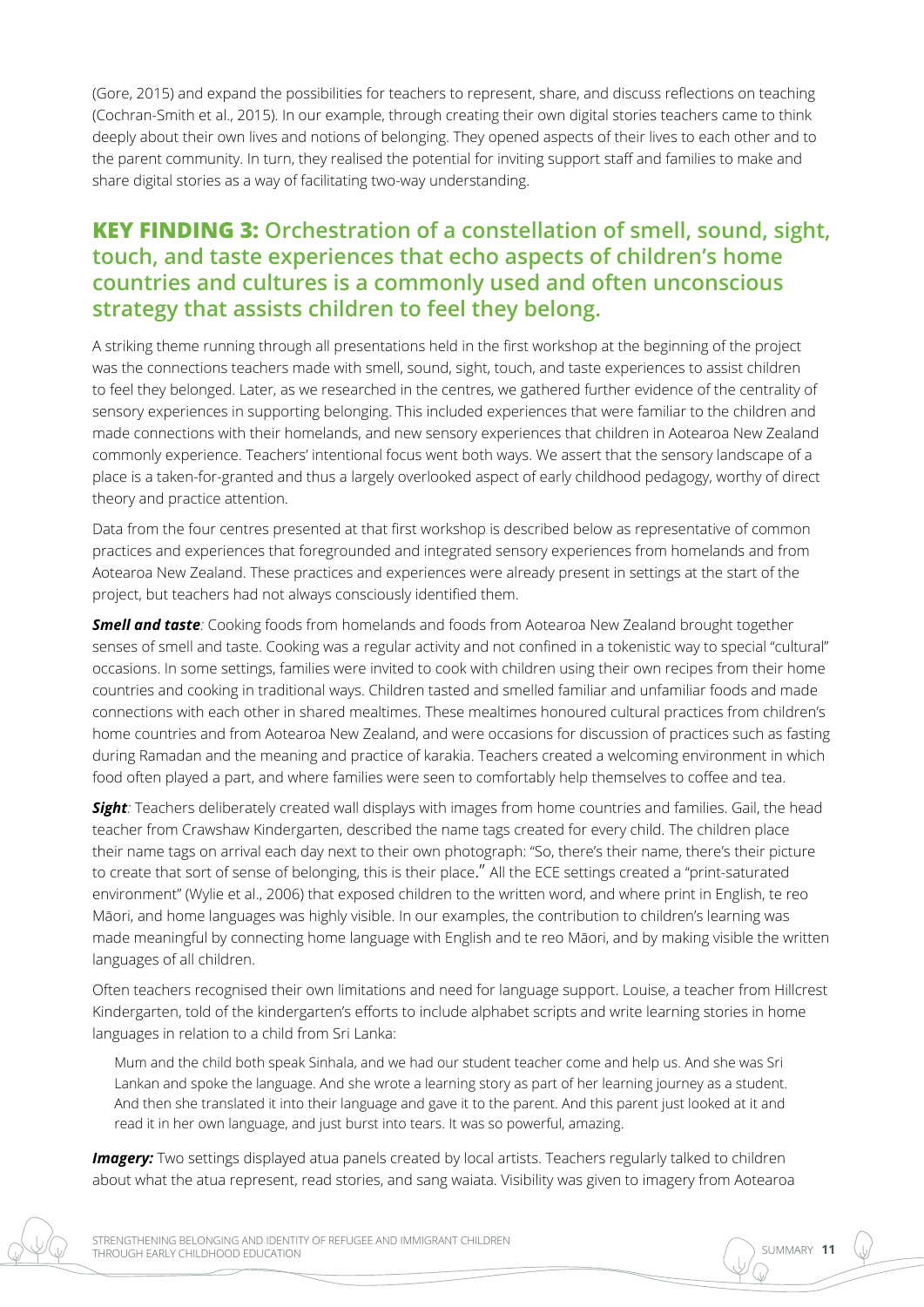(Gore, 2015) and expand the possibilities for teachers to represent, share, and discuss reflections on teaching (Cochran-Smith et al., 2015). In our example, through creating their own digital stories teachers came to think deeply about their own lives and notions of belonging. They opened aspects of their lives to each other and to the parent community. In turn, they realised the potential for inviting support staff and families to make and share digital stories as a way of facilitating two-way understanding.

## **KEY FINDING 3: Orchestration of a constellation of smell, sound, sight, touch, and taste experiences that echo aspects of children's home countries and cultures is a commonly used and often unconscious strategy that assists children to feel they belong.**

A striking theme running through all presentations held in the first workshop at the beginning of the project was the connections teachers made with smell, sound, sight, touch, and taste experiences to assist children to feel they belonged. Later, as we researched in the centres, we gathered further evidence of the centrality of sensory experiences in supporting belonging. This included experiences that were familiar to the children and made connections with their homelands, and new sensory experiences that children in Aotearoa New Zealand commonly experience. Teachers' intentional focus went both ways. We assert that the sensory landscape of a place is a taken-for-granted and thus a largely overlooked aspect of early childhood pedagogy, worthy of direct theory and practice attention.

Data from the four centres presented at that first workshop is described below as representative of common practices and experiences that foregrounded and integrated sensory experiences from homelands and from Aotearoa New Zealand. These practices and experiences were already present in settings at the start of the project, but teachers had not always consciously identified them.

*Smell and taste*: Cooking foods from homelands and foods from Aotearoa New Zealand brought together senses of smell and taste. Cooking was a regular activity and not confined in a tokenistic way to special "cultural" occasions. In some settings, families were invited to cook with children using their own recipes from their home countries and cooking in traditional ways. Children tasted and smelled familiar and unfamiliar foods and made connections with each other in shared mealtimes. These mealtimes honoured cultural practices from children's home countries and from Aotearoa New Zealand, and were occasions for discussion of practices such as fasting during Ramadan and the meaning and practice of karakia. Teachers created a welcoming environment in which food often played a part, and where families were seen to comfortably help themselves to coffee and tea.

*Sight:* Teachers deliberately created wall displays with images from home countries and families. Gail, the head teacher from Crawshaw Kindergarten, described the name tags created for every child. The children place their name tags on arrival each day next to their own photograph: "So, there's their name, there's their picture to create that sort of sense of belonging, this is their place." All the ECE settings created a "print-saturated environment" (Wylie et al., 2006) that exposed children to the written word, and where print in English, te reo Māori, and home languages was highly visible. In our examples, the contribution to children's learning was made meaningful by connecting home language with English and te reo Māori, and by making visible the written languages of all children.

Often teachers recognised their own limitations and need for language support. Louise, a teacher from Hillcrest Kindergarten, told of the kindergarten's efforts to include alphabet scripts and write learning stories in home languages in relation to a child from Sri Lanka:

Mum and the child both speak Sinhala, and we had our student teacher come and help us. And she was Sri Lankan and spoke the language. And she wrote a learning story as part of her learning journey as a student. And then she translated it into their language and gave it to the parent. And this parent just looked at it and read it in her own language, and just burst into tears. It was so powerful, amazing.

**Imagery:** Two settings displayed atua panels created by local artists. Teachers regularly talked to children about what the atua represent, read stories, and sang waiata. Visibility was given to imagery from Aotearoa

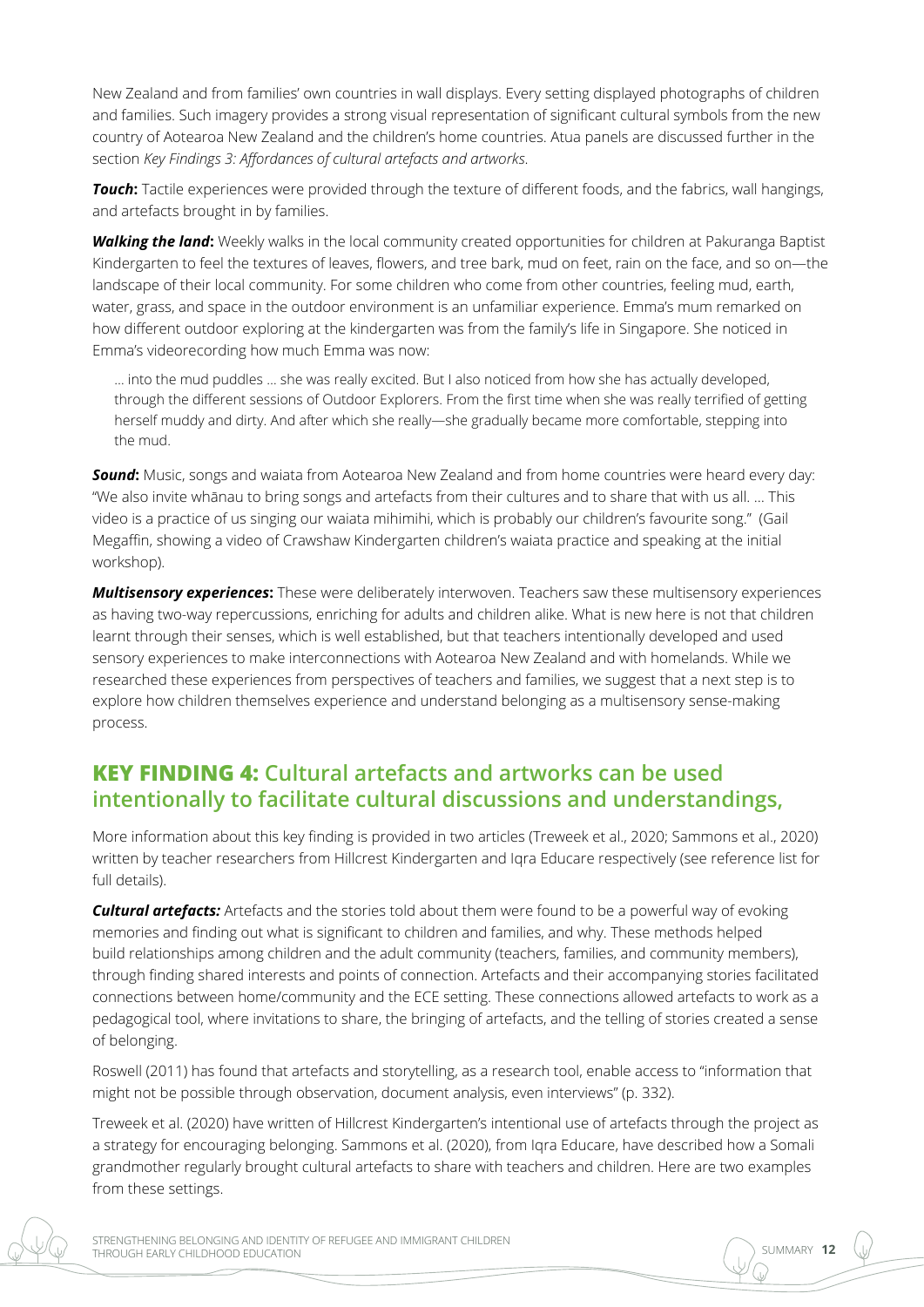New Zealand and from families' own countries in wall displays. Every setting displayed photographs of children and families. Such imagery provides a strong visual representation of significant cultural symbols from the new country of Aotearoa New Zealand and the children's home countries. Atua panels are discussed further in the section *Key Findings 3: Affordances of cultural artefacts and artworks*.

*Touch***:** Tactile experiences were provided through the texture of different foods, and the fabrics, wall hangings, and artefacts brought in by families.

*Walking the land***:** Weekly walks in the local community created opportunities for children at Pakuranga Baptist Kindergarten to feel the textures of leaves, flowers, and tree bark, mud on feet, rain on the face, and so on—the landscape of their local community. For some children who come from other countries, feeling mud, earth, water, grass, and space in the outdoor environment is an unfamiliar experience. Emma's mum remarked on how different outdoor exploring at the kindergarten was from the family's life in Singapore. She noticed in Emma's videorecording how much Emma was now:

… into the mud puddles … she was really excited. But I also noticed from how she has actually developed, through the different sessions of Outdoor Explorers. From the first time when she was really terrified of getting herself muddy and dirty. And after which she really—she gradually became more comfortable, stepping into the mud.

**Sound:** Music, songs and waiata from Aotearoa New Zealand and from home countries were heard every day: "We also invite whānau to bring songs and artefacts from their cultures and to share that with us all. … This video is a practice of us singing our waiata mihimihi, which is probably our children's favourite song." (Gail Megaffin, showing a video of Crawshaw Kindergarten children's waiata practice and speaking at the initial workshop).

*Multisensory experiences***:** These were deliberately interwoven. Teachers saw these multisensory experiences as having two-way repercussions, enriching for adults and children alike. What is new here is not that children learnt through their senses, which is well established, but that teachers intentionally developed and used sensory experiences to make interconnections with Aotearoa New Zealand and with homelands. While we researched these experiences from perspectives of teachers and families, we suggest that a next step is to explore how children themselves experience and understand belonging as a multisensory sense-making process.

#### **KEY FINDING 4: Cultural artefacts and artworks can be used intentionally to facilitate cultural discussions and understandings,**

More information about this key finding is provided in two articles (Treweek et al., 2020; Sammons et al., 2020) written by teacher researchers from Hillcrest Kindergarten and Iqra Educare respectively (see reference list for full details).

*Cultural artefacts:* Artefacts and the stories told about them were found to be a powerful way of evoking memories and finding out what is significant to children and families, and why. These methods helped build relationships among children and the adult community (teachers, families, and community members), through finding shared interests and points of connection. Artefacts and their accompanying stories facilitated connections between home/community and the ECE setting. These connections allowed artefacts to work as a pedagogical tool, where invitations to share, the bringing of artefacts, and the telling of stories created a sense of belonging.

Roswell (2011) has found that artefacts and storytelling, as a research tool, enable access to "information that might not be possible through observation, document analysis, even interviews" (p. 332).

Treweek et al. (2020) have written of Hillcrest Kindergarten's intentional use of artefacts through the project as a strategy for encouraging belonging. Sammons et al. (2020), from Iqra Educare, have described how a Somali grandmother regularly brought cultural artefacts to share with teachers and children. Here are two examples from these settings.

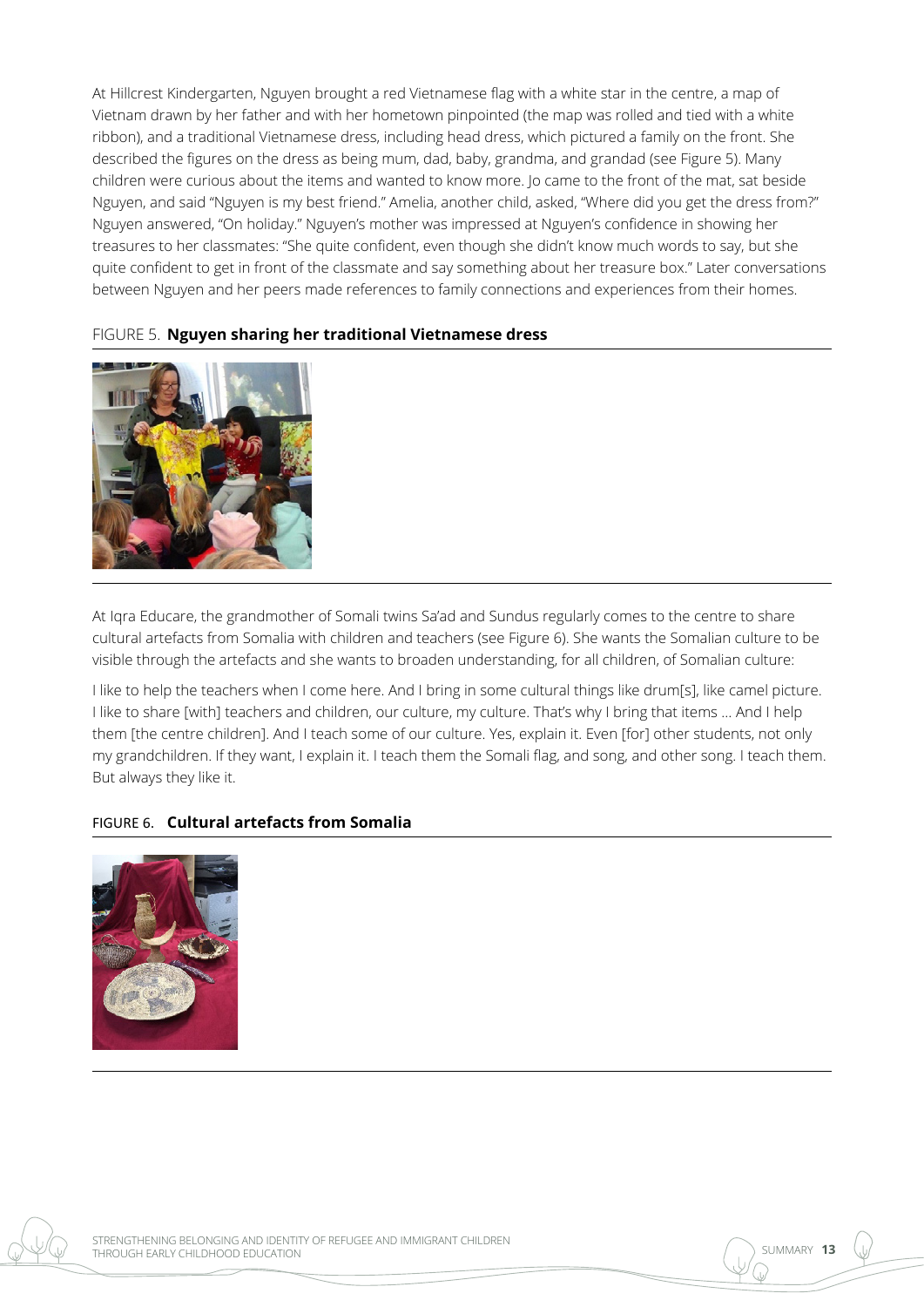At Hillcrest Kindergarten, Nguyen brought a red Vietnamese flag with a white star in the centre, a map of Vietnam drawn by her father and with her hometown pinpointed (the map was rolled and tied with a white ribbon), and a traditional Vietnamese dress, including head dress, which pictured a family on the front. She described the figures on the dress as being mum, dad, baby, grandma, and grandad (see Figure 5). Many children were curious about the items and wanted to know more. Jo came to the front of the mat, sat beside Nguyen, and said "Nguyen is my best friend." Amelia, another child, asked, "Where did you get the dress from?" Nguyen answered, "On holiday." Nguyen's mother was impressed at Nguyen's confidence in showing her treasures to her classmates: "She quite confident, even though she didn't know much words to say, but she quite confident to get in front of the classmate and say something about her treasure box." Later conversations between Nguyen and her peers made references to family connections and experiences from their homes.



#### FIGURE 5. **Nguyen sharing her traditional Vietnamese dress**

At Iqra Educare, the grandmother of Somali twins Sa'ad and Sundus regularly comes to the centre to share cultural artefacts from Somalia with children and teachers (see Figure 6). She wants the Somalian culture to be visible through the artefacts and she wants to broaden understanding, for all children, of Somalian culture:

I like to help the teachers when I come here. And I bring in some cultural things like drum[s], like camel picture. I like to share [with] teachers and children, our culture, my culture. That's why I bring that items … And I help them [the centre children]. And I teach some of our culture. Yes, explain it. Even [for] other students, not only my grandchildren. If they want, I explain it. I teach them the Somali flag, and song, and other song. I teach them. But always they like it.

#### FIGURE 6. **Cultural artefacts from Somalia**



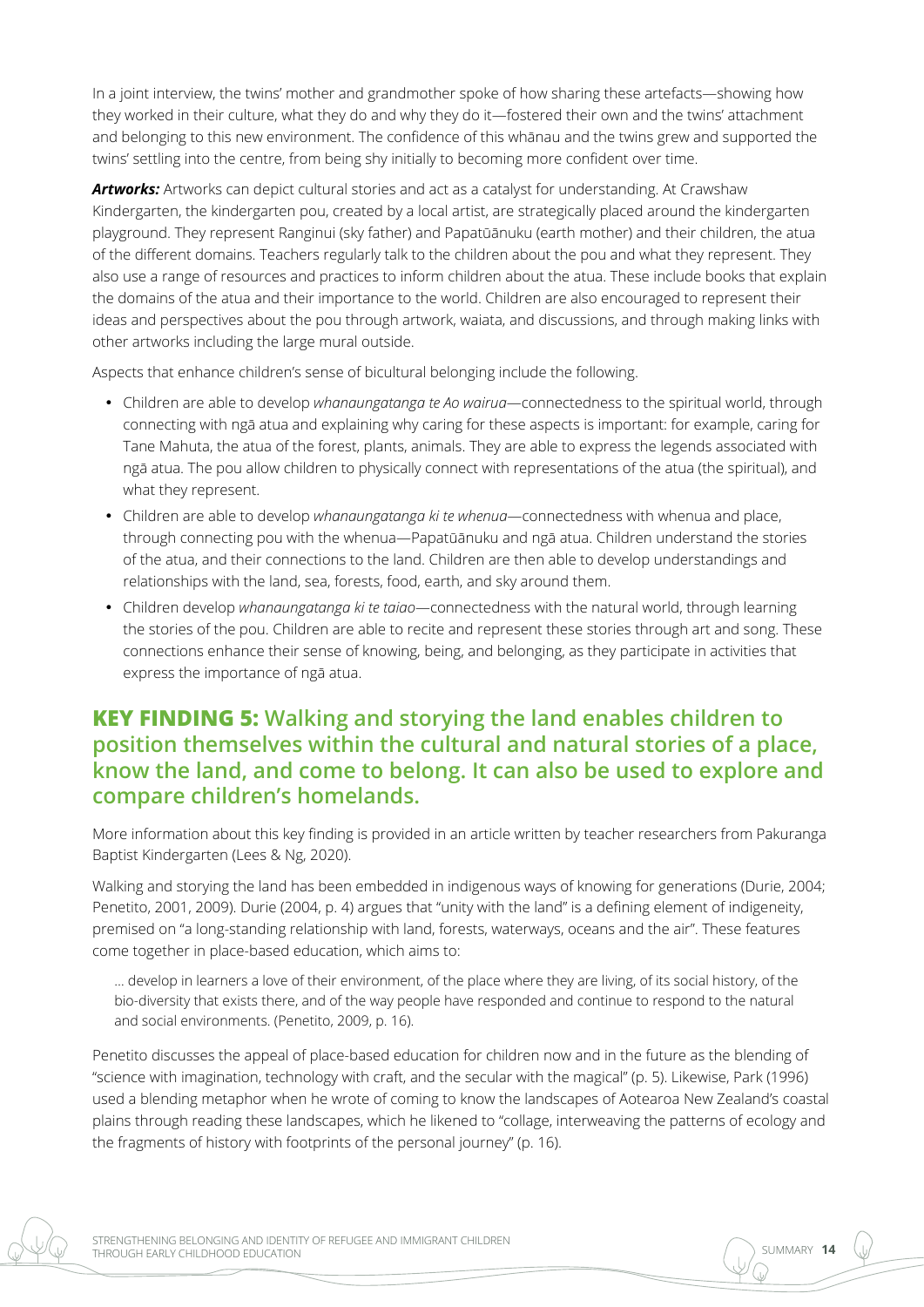In a joint interview, the twins' mother and grandmother spoke of how sharing these artefacts—showing how they worked in their culture, what they do and why they do it—fostered their own and the twins' attachment and belonging to this new environment. The confidence of this whānau and the twins grew and supported the twins' settling into the centre, from being shy initially to becoming more confident over time.

*Artworks:* Artworks can depict cultural stories and act as a catalyst for understanding. At Crawshaw Kindergarten, the kindergarten pou, created by a local artist, are strategically placed around the kindergarten playground. They represent Ranginui (sky father) and Papatūānuku (earth mother) and their children, the atua of the different domains. Teachers regularly talk to the children about the pou and what they represent. They also use a range of resources and practices to inform children about the atua. These include books that explain the domains of the atua and their importance to the world. Children are also encouraged to represent their ideas and perspectives about the pou through artwork, waiata, and discussions, and through making links with other artworks including the large mural outside.

Aspects that enhance children's sense of bicultural belonging include the following.

- • Children are able to develop *whanaungatanga te Ao wairua*—connectedness to the spiritual world, through connecting with ngā atua and explaining why caring for these aspects is important: for example, caring for Tane Mahuta, the atua of the forest, plants, animals. They are able to express the legends associated with ngā atua. The pou allow children to physically connect with representations of the atua (the spiritual), and what they represent.
- • Children are able to develop *whanaungatanga ki te whenua*—connectedness with whenua and place, through connecting pou with the whenua—Papatūānuku and ngā atua. Children understand the stories of the atua, and their connections to the land. Children are then able to develop understandings and relationships with the land, sea, forests, food, earth, and sky around them.
- • Children develop *whanaungatanga ki te taiao*—connectedness with the natural world, through learning the stories of the pou. Children are able to recite and represent these stories through art and song. These connections enhance their sense of knowing, being, and belonging, as they participate in activities that express the importance of ngā atua.

## **KEY FINDING 5: Walking and storying the land enables children to position themselves within the cultural and natural stories of a place, know the land, and come to belong. It can also be used to explore and compare children's homelands.**

More information about this key finding is provided in an article written by teacher researchers from Pakuranga Baptist Kindergarten (Lees & Ng, 2020).

Walking and storying the land has been embedded in indigenous ways of knowing for generations (Durie, 2004; Penetito, 2001, 2009). Durie (2004, p. 4) argues that "unity with the land" is a defining element of indigeneity, premised on "a long-standing relationship with land, forests, waterways, oceans and the air". These features come together in place-based education, which aims to:

… develop in learners a love of their environment, of the place where they are living, of its social history, of the bio-diversity that exists there, and of the way people have responded and continue to respond to the natural and social environments. (Penetito, 2009, p. 16).

Penetito discusses the appeal of place-based education for children now and in the future as the blending of "science with imagination, technology with craft, and the secular with the magical" (p. 5). Likewise, Park (1996) used a blending metaphor when he wrote of coming to know the landscapes of Aotearoa New Zealand's coastal plains through reading these landscapes, which he likened to "collage, interweaving the patterns of ecology and the fragments of history with footprints of the personal journey" (p. 16).

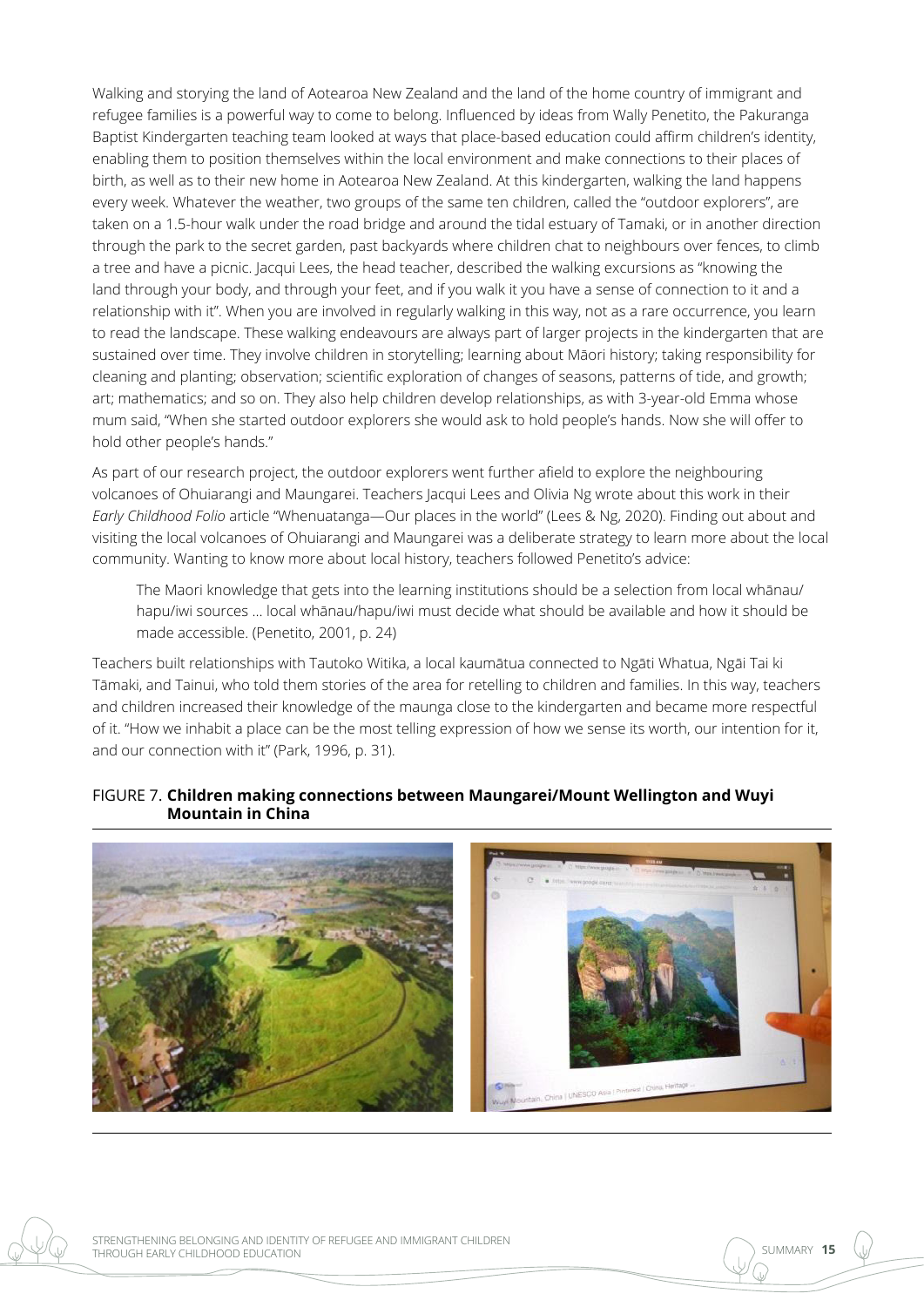Walking and storying the land of Aotearoa New Zealand and the land of the home country of immigrant and refugee families is a powerful way to come to belong. Influenced by ideas from Wally Penetito, the Pakuranga Baptist Kindergarten teaching team looked at ways that place-based education could affirm children's identity, enabling them to position themselves within the local environment and make connections to their places of birth, as well as to their new home in Aotearoa New Zealand. At this kindergarten, walking the land happens every week. Whatever the weather, two groups of the same ten children, called the "outdoor explorers", are taken on a 1.5-hour walk under the road bridge and around the tidal estuary of Tamaki, or in another direction through the park to the secret garden, past backyards where children chat to neighbours over fences, to climb a tree and have a picnic. Jacqui Lees, the head teacher, described the walking excursions as "knowing the land through your body, and through your feet, and if you walk it you have a sense of connection to it and a relationship with it". When you are involved in regularly walking in this way, not as a rare occurrence, you learn to read the landscape. These walking endeavours are always part of larger projects in the kindergarten that are sustained over time. They involve children in storytelling; learning about Māori history; taking responsibility for cleaning and planting; observation; scientific exploration of changes of seasons, patterns of tide, and growth; art; mathematics; and so on. They also help children develop relationships, as with 3-year-old Emma whose mum said, "When she started outdoor explorers she would ask to hold people's hands. Now she will offer to hold other people's hands."

As part of our research project, the outdoor explorers went further afield to explore the neighbouring volcanoes of Ohuiarangi and Maungarei. Teachers Jacqui Lees and Olivia Ng wrote about this work in their *Early Childhood Folio* article "Whenuatanga—Our places in the world" (Lees & Ng, 2020). Finding out about and visiting the local volcanoes of Ohuiarangi and Maungarei was a deliberate strategy to learn more about the local community. Wanting to know more about local history, teachers followed Penetito's advice:

The Maori knowledge that gets into the learning institutions should be a selection from local whānau/ hapu/iwi sources … local whānau/hapu/iwi must decide what should be available and how it should be made accessible. (Penetito, 2001, p. 24)

Teachers built relationships with Tautoko Witika, a local kaumātua connected to Ngāti Whatua, Ngāi Tai ki Tāmaki, and Tainui, who told them stories of the area for retelling to children and families. In this way, teachers and children increased their knowledge of the maunga close to the kindergarten and became more respectful of it. "How we inhabit a place can be the most telling expression of how we sense its worth, our intention for it, and our connection with it" (Park, 1996, p. 31).

#### FIGURE 7. **Children making connections between Maungarei/Mount Wellington and Wuyi Mountain in China**



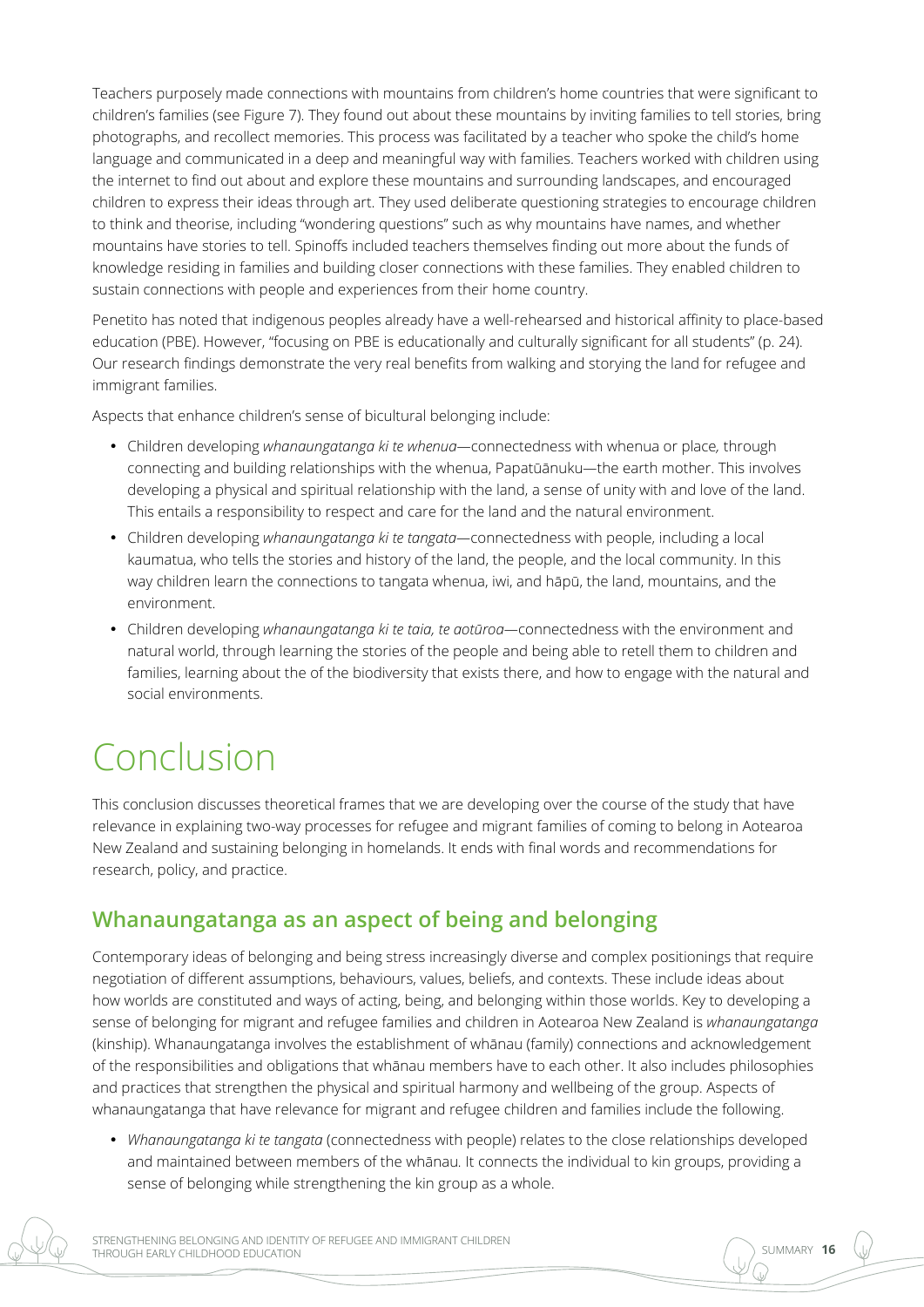Teachers purposely made connections with mountains from children's home countries that were significant to children's families (see Figure 7). They found out about these mountains by inviting families to tell stories, bring photographs, and recollect memories. This process was facilitated by a teacher who spoke the child's home language and communicated in a deep and meaningful way with families. Teachers worked with children using the internet to find out about and explore these mountains and surrounding landscapes, and encouraged children to express their ideas through art. They used deliberate questioning strategies to encourage children to think and theorise, including "wondering questions" such as why mountains have names, and whether mountains have stories to tell. Spinoffs included teachers themselves finding out more about the funds of knowledge residing in families and building closer connections with these families. They enabled children to sustain connections with people and experiences from their home country.

Penetito has noted that indigenous peoples already have a well-rehearsed and historical affinity to place-based education (PBE). However, "focusing on PBE is educationally and culturally significant for all students" (p. 24). Our research findings demonstrate the very real benefits from walking and storying the land for refugee and immigrant families.

Aspects that enhance children's sense of bicultural belonging include:

- • Children developing *whanaungatanga ki te whenua—*connectedness with whenua or place*,* through connecting and building relationships with the whenua, Papatūānuku*—*the earth mother. This involves developing a physical and spiritual relationship with the land, a sense of unity with and love of the land. This entails a responsibility to respect and care for the land and the natural environment.
- • Children developing *whanaungatanga ki te tangata—*connectedness with people, including a local kaumatua, who tells the stories and history of the land, the people, and the local community. In this way children learn the connections to tangata whenua, iwi, and hāpū, the land, mountains, and the environment.
- • Children developing *whanaungatanga ki te taia, te aotūroa—*connectedness with the environment and natural world, through learning the stories of the people and being able to retell them to children and families, learning about the of the biodiversity that exists there, and how to engage with the natural and social environments.

## Conclusion

This conclusion discusses theoretical frames that we are developing over the course of the study that have relevance in explaining two-way processes for refugee and migrant families of coming to belong in Aotearoa New Zealand and sustaining belonging in homelands. It ends with final words and recommendations for research, policy, and practice.

## **Whanaungatanga as an aspect of being and belonging**

Contemporary ideas of belonging and being stress increasingly diverse and complex positionings that require negotiation of different assumptions, behaviours, values, beliefs, and contexts. These include ideas about how worlds are constituted and ways of acting, being, and belonging within those worlds. Key to developing a sense of belonging for migrant and refugee families and children in Aotearoa New Zealand is *whanaungatanga*  (kinship). Whanaungatanga involves the establishment of whānau (family) connections and acknowledgement of the responsibilities and obligations that whānau members have to each other. It also includes philosophies and practices that strengthen the physical and spiritual harmony and wellbeing of the group. Aspects of whanaungatanga that have relevance for migrant and refugee children and families include the following.

• *Whanaungatanga ki te tangata* (connectedness with people) relates to the close relationships developed and maintained between members of the whānau*.* It connects the individual to kin groups, providing a sense of belonging while strengthening the kin group as a whole.

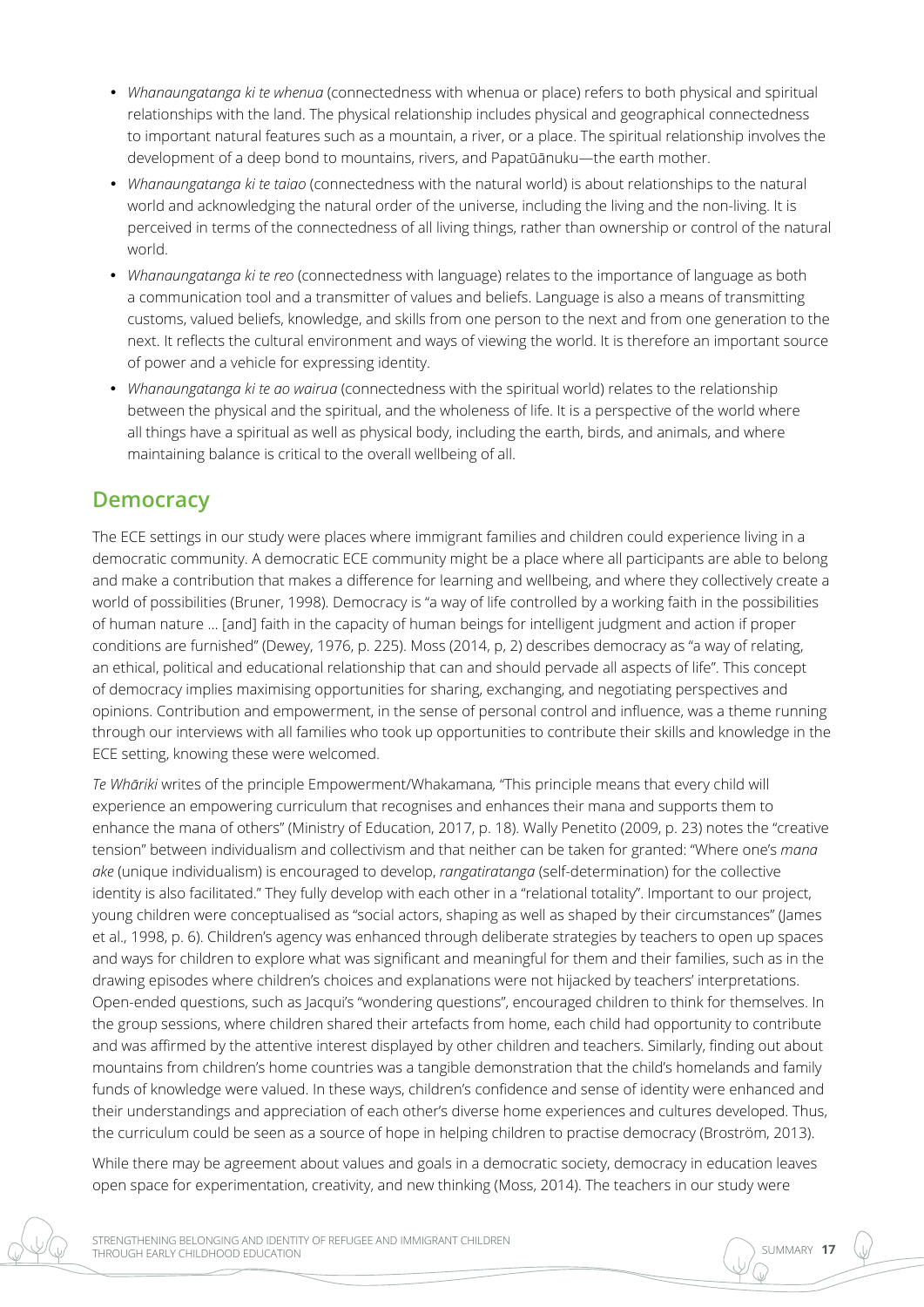- • *Whanaungatanga ki te whenua* (connectedness with whenua or place) refers to both physical and spiritual relationships with the land. The physical relationship includes physical and geographical connectedness to important natural features such as a mountain, a river, or a place. The spiritual relationship involves the development of a deep bond to mountains, rivers, and Papatūānuku—the earth mother.
- • *Whanaungatanga ki te taiao* (connectedness with the natural world) is about relationships to the natural world and acknowledging the natural order of the universe, including the living and the non-living. It is perceived in terms of the connectedness of all living things, rather than ownership or control of the natural world.
- • *Whanaungatanga ki te reo* (connectedness with language) relates to the importance of language as both a communication tool and a transmitter of values and beliefs. Language is also a means of transmitting customs, valued beliefs, knowledge, and skills from one person to the next and from one generation to the next. It reflects the cultural environment and ways of viewing the world. It is therefore an important source of power and a vehicle for expressing identity.
- • *Whanaungatanga ki te ao wairua* (connectedness with the spiritual world) relates to the relationship between the physical and the spiritual, and the wholeness of life. It is a perspective of the world where all things have a spiritual as well as physical body, including the earth, birds, and animals, and where maintaining balance is critical to the overall wellbeing of all.

## **Democracy**

The ECE settings in our study were places where immigrant families and children could experience living in a democratic community. A democratic ECE community might be a place where all participants are able to belong and make a contribution that makes a difference for learning and wellbeing, and where they collectively create a world of possibilities (Bruner, 1998). Democracy is "a way of life controlled by a working faith in the possibilities of human nature … [and] faith in the capacity of human beings for intelligent judgment and action if proper conditions are furnished" (Dewey, 1976, p. 225). Moss (2014, p, 2) describes democracy as "a way of relating, an ethical, political and educational relationship that can and should pervade all aspects of life". This concept of democracy implies maximising opportunities for sharing, exchanging, and negotiating perspectives and opinions. Contribution and empowerment, in the sense of personal control and influence, was a theme running through our interviews with all families who took up opportunities to contribute their skills and knowledge in the ECE setting, knowing these were welcomed.

*Te Whāriki* writes of the principle Empowerment/Whakamana*,* "This principle means that every child will experience an empowering curriculum that recognises and enhances their mana and supports them to enhance the mana of others" (Ministry of Education, 2017, p. 18). Wally Penetito (2009, p. 23) notes the "creative tension" between individualism and collectivism and that neither can be taken for granted: "Where one's *mana ake* (unique individualism) is encouraged to develop, *rangatiratanga* (self-determination) for the collective identity is also facilitated." They fully develop with each other in a "relational totality". Important to our project, young children were conceptualised as "social actors, shaping as well as shaped by their circumstances" (James et al., 1998, p. 6). Children's agency was enhanced through deliberate strategies by teachers to open up spaces and ways for children to explore what was significant and meaningful for them and their families, such as in the drawing episodes where children's choices and explanations were not hijacked by teachers' interpretations. Open-ended questions, such as Jacqui's "wondering questions", encouraged children to think for themselves. In the group sessions, where children shared their artefacts from home, each child had opportunity to contribute and was affirmed by the attentive interest displayed by other children and teachers. Similarly, finding out about mountains from children's home countries was a tangible demonstration that the child's homelands and family funds of knowledge were valued. In these ways, children's confidence and sense of identity were enhanced and their understandings and appreciation of each other's diverse home experiences and cultures developed. Thus, the curriculum could be seen as a source of hope in helping children to practise democracy (Broström, 2013).

While there may be agreement about values and goals in a democratic society, democracy in education leaves open space for experimentation, creativity, and new thinking (Moss, 2014). The teachers in our study were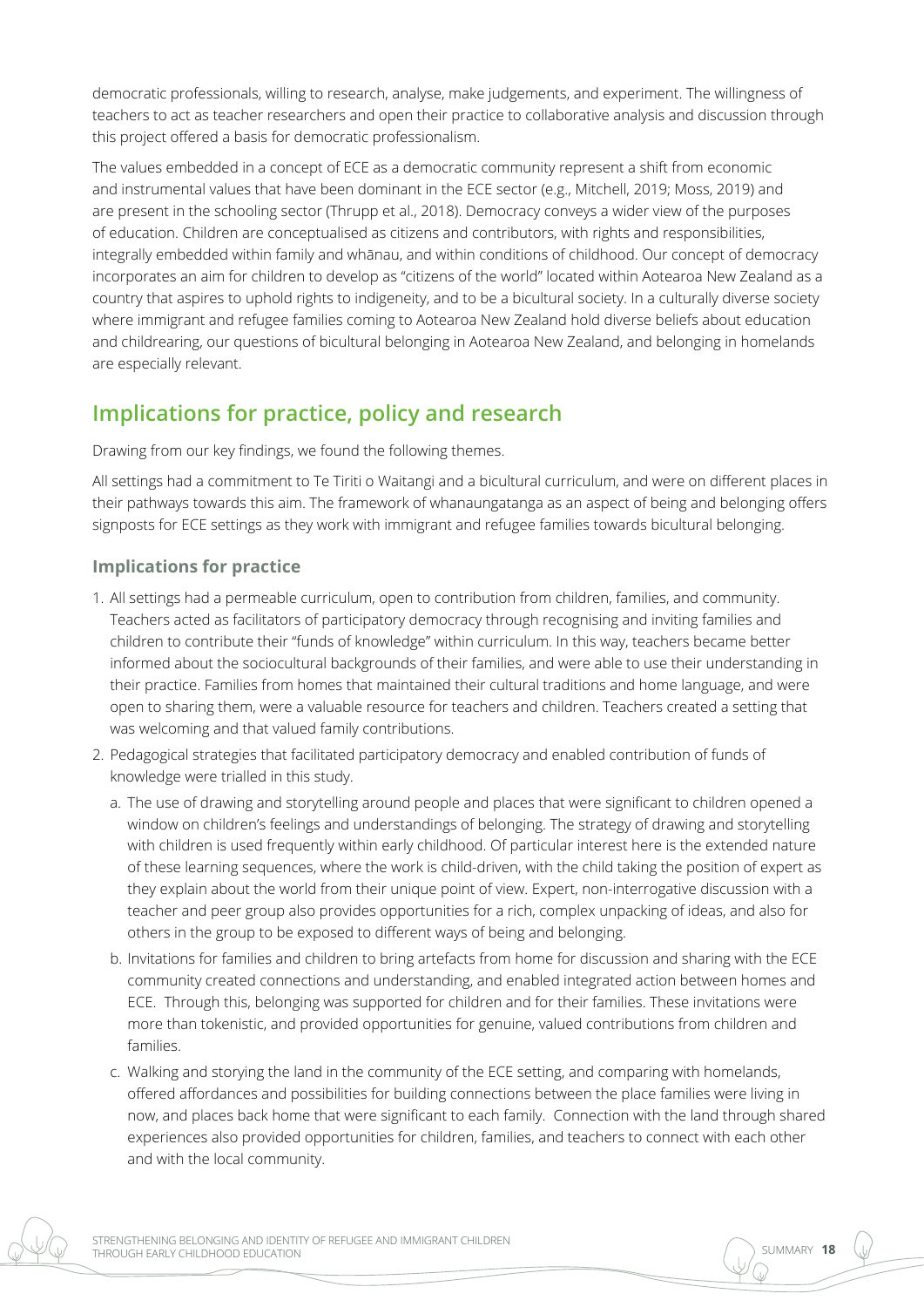democratic professionals, willing to research, analyse, make judgements, and experiment. The willingness of teachers to act as teacher researchers and open their practice to collaborative analysis and discussion through this project offered a basis for democratic professionalism.

The values embedded in a concept of ECE as a democratic community represent a shift from economic and instrumental values that have been dominant in the ECE sector (e.g., Mitchell, 2019; Moss, 2019) and are present in the schooling sector (Thrupp et al., 2018). Democracy conveys a wider view of the purposes of education. Children are conceptualised as citizens and contributors, with rights and responsibilities, integrally embedded within family and whānau, and within conditions of childhood. Our concept of democracy incorporates an aim for children to develop as "citizens of the world" located within Aotearoa New Zealand as a country that aspires to uphold rights to indigeneity, and to be a bicultural society. In a culturally diverse society where immigrant and refugee families coming to Aotearoa New Zealand hold diverse beliefs about education and childrearing, our questions of bicultural belonging in Aotearoa New Zealand, and belonging in homelands are especially relevant.

## **Implications for practice, policy and research**

Drawing from our key findings, we found the following themes.

All settings had a commitment to Te Tiriti o Waitangi and a bicultural curriculum, and were on different places in their pathways towards this aim. The framework of whanaungatanga as an aspect of being and belonging offers signposts for ECE settings as they work with immigrant and refugee families towards bicultural belonging.

#### **Implications for practice**

- 1. All settings had a permeable curriculum, open to contribution from children, families, and community. Teachers acted as facilitators of participatory democracy through recognising and inviting families and children to contribute their "funds of knowledge" within curriculum. In this way, teachers became better informed about the sociocultural backgrounds of their families, and were able to use their understanding in their practice. Families from homes that maintained their cultural traditions and home language, and were open to sharing them, were a valuable resource for teachers and children. Teachers created a setting that was welcoming and that valued family contributions.
- 2. Pedagogical strategies that facilitated participatory democracy and enabled contribution of funds of knowledge were trialled in this study.
	- a. The use of drawing and storytelling around people and places that were significant to children opened a window on children's feelings and understandings of belonging. The strategy of drawing and storytelling with children is used frequently within early childhood. Of particular interest here is the extended nature of these learning sequences, where the work is child-driven, with the child taking the position of expert as they explain about the world from their unique point of view. Expert, non-interrogative discussion with a teacher and peer group also provides opportunities for a rich, complex unpacking of ideas, and also for others in the group to be exposed to different ways of being and belonging.
	- b. Invitations for families and children to bring artefacts from home for discussion and sharing with the ECE community created connections and understanding, and enabled integrated action between homes and ECE. Through this, belonging was supported for children and for their families. These invitations were more than tokenistic, and provided opportunities for genuine, valued contributions from children and families.
	- c. Walking and storying the land in the community of the ECE setting, and comparing with homelands, offered affordances and possibilities for building connections between the place families were living in now, and places back home that were significant to each family. Connection with the land through shared experiences also provided opportunities for children, families, and teachers to connect with each other and with the local community.

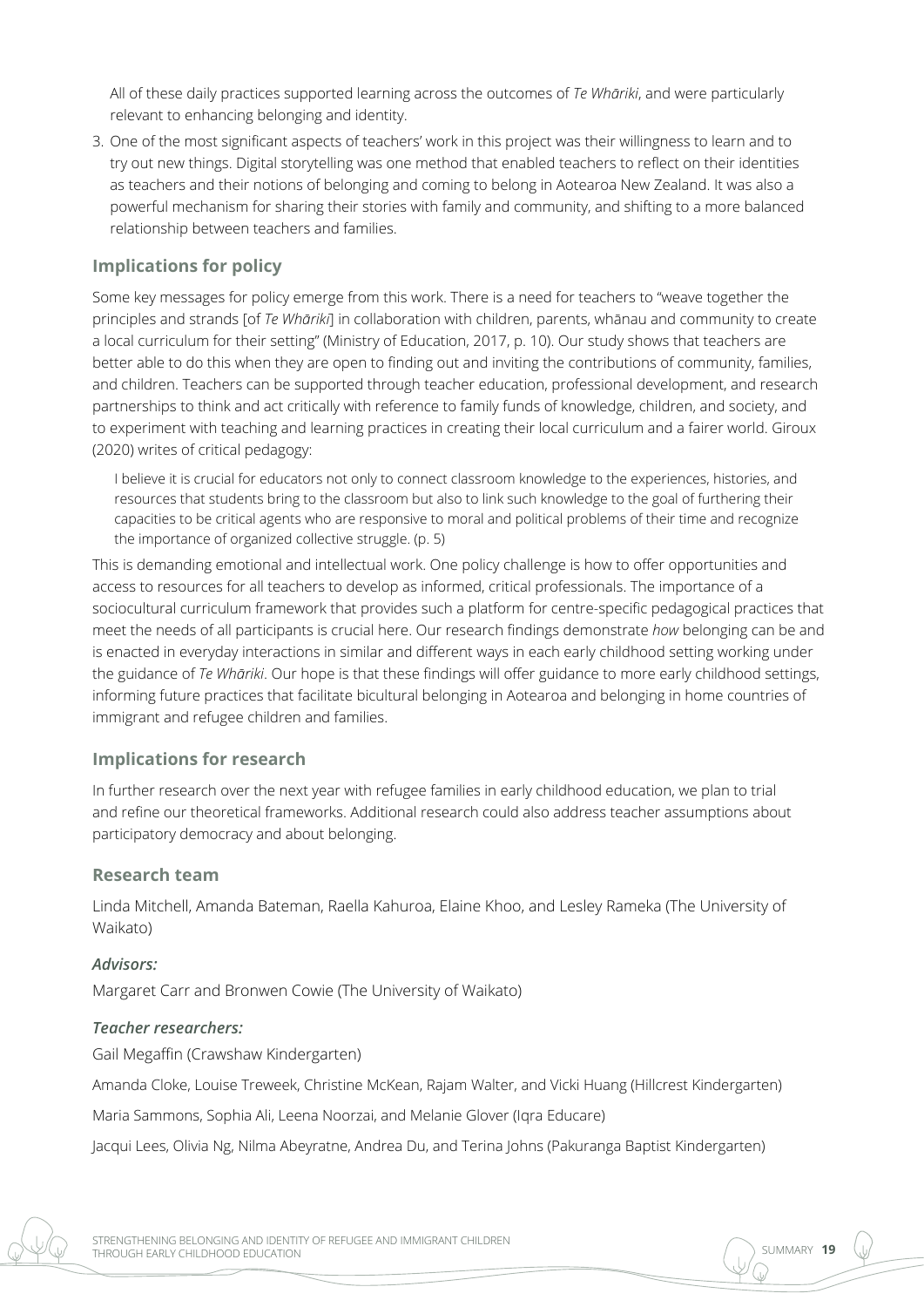All of these daily practices supported learning across the outcomes of *Te Whāriki*, and were particularly relevant to enhancing belonging and identity.

3. One of the most significant aspects of teachers' work in this project was their willingness to learn and to try out new things. Digital storytelling was one method that enabled teachers to reflect on their identities as teachers and their notions of belonging and coming to belong in Aotearoa New Zealand. It was also a powerful mechanism for sharing their stories with family and community, and shifting to a more balanced relationship between teachers and families.

#### **Implications for policy**

Some key messages for policy emerge from this work. There is a need for teachers to "weave together the principles and strands [of *Te Whāriki*] in collaboration with children, parents, whānau and community to create a local curriculum for their setting" (Ministry of Education, 2017, p. 10). Our study shows that teachers are better able to do this when they are open to finding out and inviting the contributions of community, families, and children. Teachers can be supported through teacher education, professional development, and research partnerships to think and act critically with reference to family funds of knowledge, children, and society, and to experiment with teaching and learning practices in creating their local curriculum and a fairer world. Giroux (2020) writes of critical pedagogy:

I believe it is crucial for educators not only to connect classroom knowledge to the experiences, histories, and resources that students bring to the classroom but also to link such knowledge to the goal of furthering their capacities to be critical agents who are responsive to moral and political problems of their time and recognize the importance of organized collective struggle. (p. 5)

This is demanding emotional and intellectual work. One policy challenge is how to offer opportunities and access to resources for all teachers to develop as informed, critical professionals. The importance of a sociocultural curriculum framework that provides such a platform for centre-specific pedagogical practices that meet the needs of all participants is crucial here. Our research findings demonstrate *how* belonging can be and is enacted in everyday interactions in similar and different ways in each early childhood setting working under the guidance of *Te Whāriki*. Our hope is that these findings will offer guidance to more early childhood settings, informing future practices that facilitate bicultural belonging in Aotearoa and belonging in home countries of immigrant and refugee children and families.

#### **Implications for research**

In further research over the next year with refugee families in early childhood education, we plan to trial and refine our theoretical frameworks. Additional research could also address teacher assumptions about participatory democracy and about belonging.

#### **Research team**

Linda Mitchell, Amanda Bateman, Raella Kahuroa, Elaine Khoo, and Lesley Rameka (The University of Waikato)

#### *Advisors:*

Margaret Carr and Bronwen Cowie (The University of Waikato)

#### *Teacher researchers:*

Gail Megaffin (Crawshaw Kindergarten)

Amanda Cloke, Louise Treweek, Christine McKean, Rajam Walter, and Vicki Huang (Hillcrest Kindergarten)

Maria Sammons, Sophia Ali, Leena Noorzai, and Melanie Glover (Iqra Educare)

Jacqui Lees, Olivia Ng, Nilma Abeyratne, Andrea Du, and Terina Johns (Pakuranga Baptist Kindergarten)

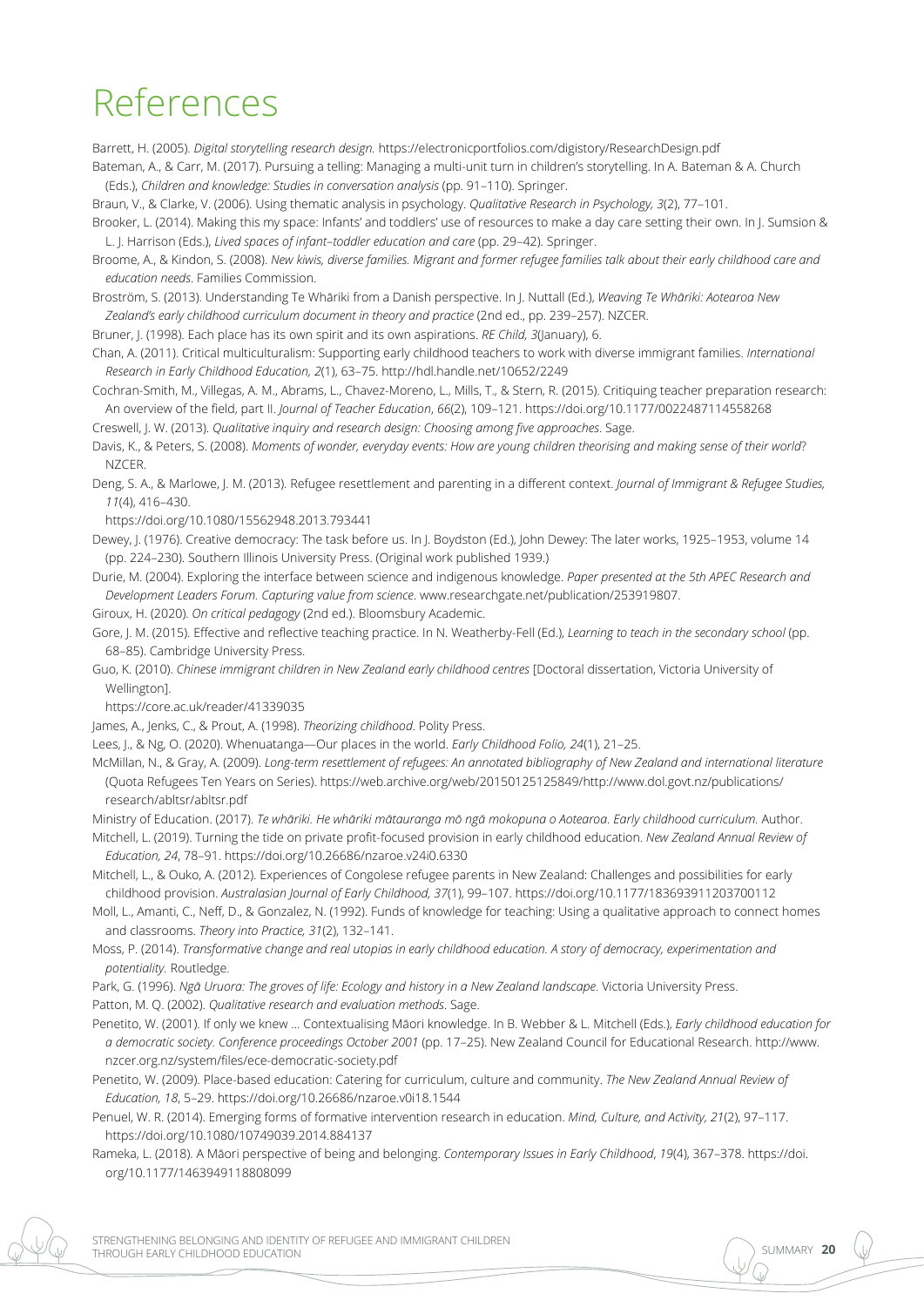## References

Barrett, H. (2005). *Digital storytelling research design.* <https://electronicportfolios.com/digistory/ResearchDesign.pdf>

Bateman, A., & Carr, M. (2017). Pursuing a telling: Managing a multi-unit turn in children's storytelling. In A. Bateman & A. Church (Eds.), *Children and knowledge: Studies in conversation analysis* (pp. 91–110). Springer.

Braun, V., & Clarke, V. (2006). Using thematic analysis in psychology. *Qualitative Research in Psychology, 3*(2), 77–101.

Brooker, L. (2014). Making this my space: Infants' and toddlers' use of resources to make a day care setting their own. In J. Sumsion & L. J. Harrison (Eds.), *Lived spaces of infant*–*toddler education and care* (pp. 29–42). Springer.

Broome, A., & Kindon, S. (2008). *New kiwis, diverse families. Migrant and former refugee families talk about their early childhood care and education needs*. Families Commission.

Broström, S. (2013). Understanding Te Whāriki from a Danish perspective. In J. Nuttall (Ed.), *Weaving Te Whāriki: Aotearoa New Zealand's early childhood curriculum document in theory and practice* (2nd ed., pp. 239–257). NZCER.

Bruner, J. (1998). Each place has its own spirit and its own aspirations. *RE Child. 3(Ianuary)*, 6.

Chan, A. (2011). Critical multiculturalism: Supporting early childhood teachers to work with diverse immigrant families. *International Research in Early Childhood Education, 2*(1), 63–75.<http://hdl.handle.net/10652/2249>

Cochran-Smith, M., Villegas, A. M., Abrams, L., Chavez-Moreno, L., Mills, T., & Stern, R. (2015). Critiquing teacher preparation research: An overview of the field, part II. *Journal of Teacher Education*, *66*(2), 109–121. <https://doi.org/10.1177/0022487114558268> Creswell, J. W. (2013). *Qualitative inquiry and research design: Choosing among five approaches*. Sage.

Davis, K., & Peters, S. (2008). *Moments of wonder, everyday events: How are young children theorising and making sense of their world*? NZCER.

Deng, S. A., & Marlowe, J. M. (2013). Refugee resettlement and parenting in a different context. *Journal of Immigrant & Refugee Studies, 11*(4), 416–430.

<https://doi.org/10.1080/15562948.2013.793441>

Dewey, J. (1976). Creative democracy: The task before us. In J. Boydston (Ed.), John Dewey: The later works, 1925–1953, volume 14 (pp. 224–230). Southern Illinois University Press. (Original work published 1939.)

Durie, M. (2004). Exploring the interface between science and indigenous knowledge. *Paper presented at the 5th APEC Research and Development Leaders Forum. Capturing value from science*. [www.researchgate.net/publication/253919807.](file:///C:\Users\davide\New%20Zealand%20Council%20for%20Educational%20Research\NZCER%20Press%20-%20Team%20documents\Projects\2020\TLRI\Mitchell\back%20from%20authors\www.researchgate.net\publication\253919807)

Giroux, H. (2020). *On critical pedagogy* (2nd ed.). Bloomsbury Academic.

Gore, J. M. (2015). Effective and reflective teaching practice. In N. Weatherby-Fell (Ed.), *Learning to teach in the secondary school* (pp. 68–85). Cambridge University Press.

Guo, K. (2010). *Chinese immigrant children in New Zealand early childhood centres* [Doctoral dissertation, Victoria University of Wellington].

<https://core.ac.uk/reader/41339035>

James, A., Jenks, C., & Prout, A. (1998). *Theorizing childhood*. Polity Press.

Lees, J., & Ng, O. (2020). Whenuatanga—Our places in the world. *Early Childhood Folio, 24*(1), 21–25.

McMillan, N., & Gray, A. (2009). *Long-term resettlement of refugees: An annotated bibliography of New Zealand and international literature* (Quota Refugees Ten Years on Series). [https://web.archive.org/web/20150125125849/http://www.dol.govt.nz/publications/](https://web.archive.org/web/20150125125849/http:/www.dol.govt.nz/publications/research/abltsr/abltsr.pdf) [research/abltsr/abltsr.pdf](https://web.archive.org/web/20150125125849/http:/www.dol.govt.nz/publications/research/abltsr/abltsr.pdf)

Ministry of Education. (2017). *Te whāriki. He whāriki mātauranga mō ngā mokopuna o Aotearoa*. *Early childhood curriculum.* Author.

Mitchell, L. (2019). Turning the tide on private profit-focused provision in early childhood education. *New Zealand Annual Review of Education, 24*, 78–91. <https://doi.org/10.26686/nzaroe.v24i0.6330>

Mitchell, L., & Ouko, A. (2012). Experiences of Congolese refugee parents in New Zealand: Challenges and possibilities for early childhood provision. *Australasian Journal of Early Childhood, 37*(1), 99–107. [https://doi.org/10.1177/183693911203700112](https://doi.org/10.1177%2F183693911203700112)

Moll, L., Amanti, C., Neff, D., & Gonzalez, N. (1992). Funds of knowledge for teaching: Using a qualitative approach to connect homes and classrooms. *Theory into Practice, 31*(2), 132–141.

Moss, P. (2014). *Transformative change and real utopias in early childhood education. A story of democracy, experimentation and potentiality.* Routledge.

Park, G. (1996). *Ngā Uruora: The groves of life: Ecology and history in a New Zealand landscape*. Victoria University Press. Patton, M. Q. (2002). *Qualitative research and evaluation methods*. Sage.

Penetito, W. (2001). If only we knew … Contextualising Māori knowledge. In B. Webber & L. Mitchell (Eds.), *Early childhood education for a democratic society. Conference proceedings October 2001* (pp. 17–25). New Zealand Council for Educational Research. [http://www.](http://www.nzcer.org.nz/system/files/ece-democratic-society.pdf) [nzcer.org.nz/system/files/ece-democratic-society.pdf](http://www.nzcer.org.nz/system/files/ece-democratic-society.pdf)

Penetito, W. (2009). Place-based education: Catering for curriculum, culture and community. *The New Zealand Annual Review of Education, 18*, 5–29.<https://doi.org/10.26686/nzaroe.v0i18.1544>

Penuel, W. R. (2014). Emerging forms of formative intervention research in education. *Mind, Culture, and Activity, 21*(2), 97–117. <https://doi.org/10.1080/10749039.2014.884137>

Rameka, L. (2018). A Māori perspective of being and belonging. *Contemporary Issues in Early Childhood*, *19*(4), 367–378. [https://doi.](https://doi.org/10.1177%2F1463949118808099) [org/10.1177/1463949118808099](https://doi.org/10.1177%2F1463949118808099)